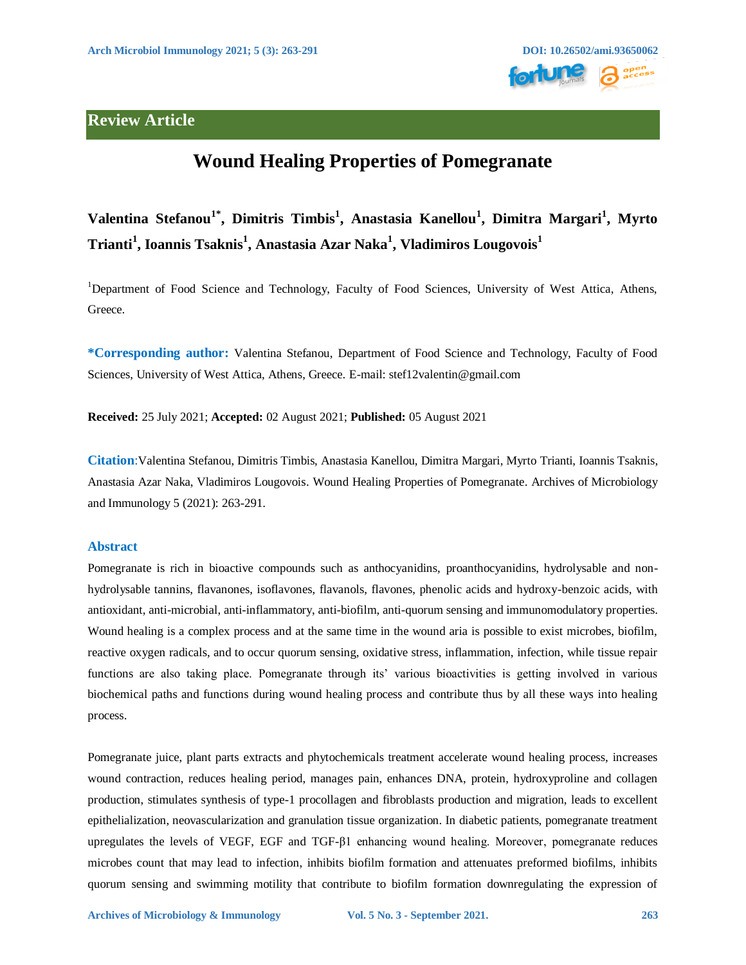

## **Review Article**

# **Wound Healing Properties of Pomegranate**

**Valentina Stefanou1\* , Dimitris Timbis<sup>1</sup> , Anastasia Kanellou<sup>1</sup> , Dimitra Margari<sup>1</sup> , Myrto Trianti<sup>1</sup> , Ioannis Tsaknis<sup>1</sup> , Anastasia Azar Naka<sup>1</sup> , Vladimiros Lougovois<sup>1</sup>**

<sup>1</sup>Department of Food Science and Technology, Faculty of Food Sciences, University of West Attica, Athens, Greece.

**\*Corresponding author:** Valentina Stefanou, Department of Food Science and Technology, Faculty of Food Sciences, University of West Attica, Athens, Greece. E-mail: stef12valentin@gmail.com

**Received:** 25 July 2021; **Accepted:** 02 August 2021; **Published:** 05 August 2021

**Citation**:Valentina Stefanou, Dimitris Timbis, Anastasia Kanellou, Dimitra Margari, Myrto Trianti, Ioannis Tsaknis, Anastasia Azar Naka, Vladimiros Lougovois. Wound Healing Properties of Pomegranate. Archives of Microbiology and Immunology 5 (2021): 263-291.

## **Abstract**

Pomegranate is rich in bioactive compounds such as anthocyanidins, proanthocyanidins, hydrolysable and nonhydrolysable tannins, flavanones, isoflavones, flavanols, flavones, phenolic acids and hydroxy-benzoic acids, with antioxidant, anti-microbial, anti-inflammatory, anti-biofilm, anti-quorum sensing and immunomodulatory properties. Wound healing is a complex process and at the same time in the wound aria is possible to exist microbes, biofilm, reactive oxygen radicals, and to occur quorum sensing, oxidative stress, inflammation, infection, while tissue repair functions are also taking place. Pomegranate through its' various bioactivities is getting involved in various biochemical paths and functions during wound healing process and contribute thus by all these ways into healing process.

Pomegranate juice, plant parts extracts and phytochemicals treatment accelerate wound healing process, increases wound contraction, reduces healing period, manages pain, enhances DNA, protein, hydroxyproline and collagen production, stimulates synthesis of type-1 procollagen and fibroblasts production and migration, leads to excellent epithelialization, neovascularization and granulation tissue organization. In diabetic patients, pomegranate treatment upregulates the levels of VEGF, EGF and TGF-β1 enhancing wound healing. Moreover, pomegranate reduces microbes count that may lead to infection, inhibits biofilm formation and attenuates preformed biofilms, inhibits quorum sensing and swimming motility that contribute to biofilm formation downregulating the expression of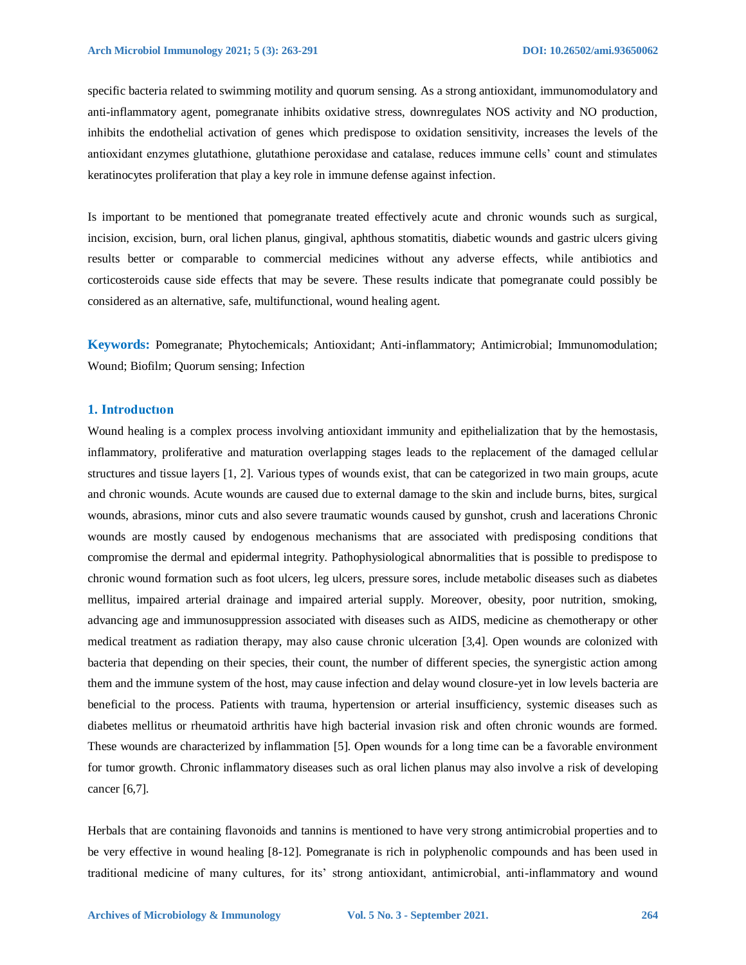specific bacteria related to swimming motility and quorum sensing. As a strong antioxidant, immunomodulatory and anti-inflammatory agent, pomegranate inhibits oxidative stress, downregulates NOS activity and NO production, inhibits the endothelial activation of genes which predispose to oxidation sensitivity, increases the levels of the antioxidant enzymes glutathione, glutathione peroxidase and catalase, reduces immune cells' count and stimulates keratinocytes proliferation that play a key role in immune defense against infection.

Is important to be mentioned that pomegranate treated effectively acute and chronic wounds such as surgical, incision, excision, burn, oral lichen planus, gingival, aphthous stomatitis, diabetic wounds and gastric ulcers giving results better or comparable to commercial medicines without any adverse effects, while antibiotics and corticosteroids cause side effects that may be severe. These results indicate that pomegranate could possibly be considered as an alternative, safe, multifunctional, wound healing agent.

**Keywords:** Pomegranate; Phytochemicals; Antioxidant; Anti-inflammatory; Antimicrobial; Immunomodulation; Wound; Biofilm; Quorum sensing; Infection

## **1. Introductıon**

Wound healing is a complex process involving antioxidant immunity and epithelialization that by the hemostasis, inflammatory, proliferative and maturation overlapping stages leads to the replacement of the damaged cellular structures and tissue layers [1, 2]. Various types of wounds exist, that can be categorized in two main groups, acute and chronic wounds. Acute wounds are caused due to external damage to the skin and include burns, bites, surgical wounds, abrasions, minor cuts and also severe traumatic wounds caused by gunshot, crush and lacerations Chronic wounds are mostly caused by endogenous mechanisms that are associated with predisposing conditions that compromise the dermal and epidermal integrity. Pathophysiological abnormalities that is possible to predispose to chronic wound formation such as foot ulcers, leg ulcers, pressure sores, include metabolic diseases such as diabetes mellitus, impaired arterial drainage and impaired arterial supply. Moreover, obesity, poor nutrition, smoking, advancing age and immunosuppression associated with diseases such as AIDS, medicine as chemotherapy or other medical treatment as radiation therapy, may also cause chronic ulceration [3,4]. Open wounds are colonized with bacteria that depending on their species, their count, the number of different species, the synergistic action among them and the immune system of the host, may cause infection and delay wound closure-yet in low levels bacteria are beneficial to the process. Patients with trauma, hypertension or arterial insufficiency, systemic diseases such as diabetes mellitus or rheumatoid arthritis have high bacterial invasion risk and often chronic wounds are formed. These wounds are characterized by inflammation [5]. Οpen wounds for a long time can be a favorable environment for tumor growth. Chronic inflammatory diseases such as oral lichen planus may also involve a risk of developing cancer [6,7].

Herbals that are containing flavonoids and tannins is mentioned to have very strong antimicrobial properties and to be very effective in wound healing [8-12]. Pomegranate is rich in polyphenolic compounds and has been used in traditional medicine of many cultures, for its' strong antioxidant, antimicrobial, anti-inflammatory and wound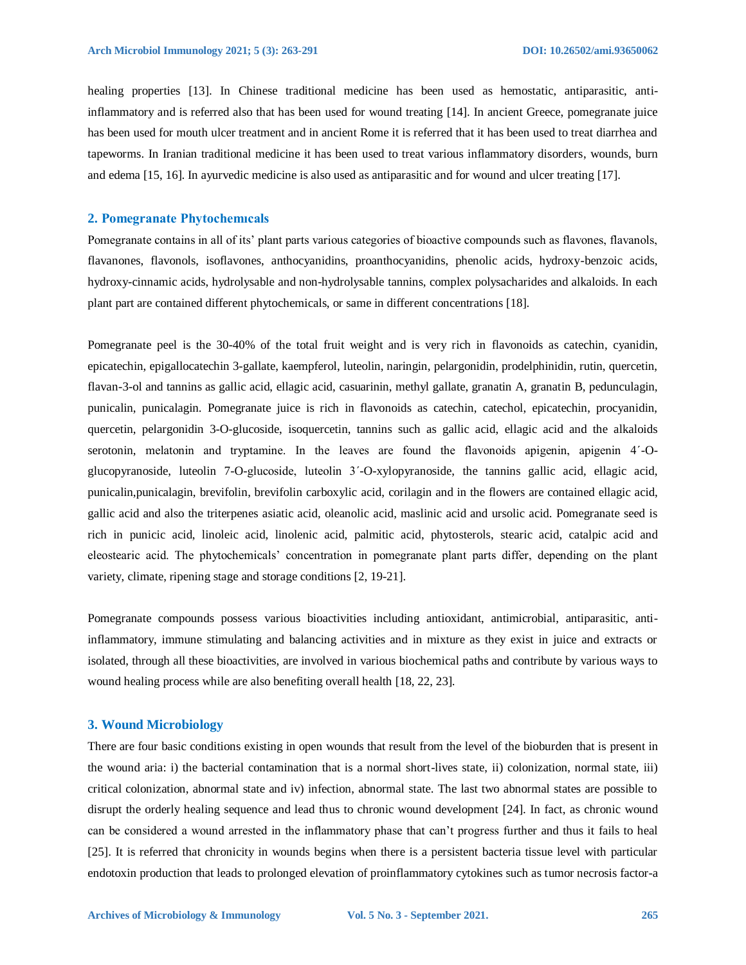healing properties [13]. In Chinese traditional medicine has been used as hemostatic, antiparasitic, antiinflammatory and is referred also that has been used for wound treating [14]. In ancient Greece, pomegranate juice has been used for mouth ulcer treatment and in ancient Rome it is referred that it has been used to treat diarrhea and tapeworms. In Iranian traditional medicine it has been used to treat various inflammatory disorders, wounds, burn and edema [15, 16]. In ayurvedic medicine is also used as antiparasitic and for wound and ulcer treating [17].

#### **2. Pomegranate Phytochemıcals**

Pomegranate contains in all of its' plant parts various categories of bioactive compounds such as flavones, flavanols, flavanones, flavonols, isoflavones, anthocyanidins, proanthocyanidins, phenolic acids, hydroxy-benzoic acids, hydroxy-cinnamic acids, hydrolysable and non-hydrolysable tannins, complex polysacharides and alkaloids. In each plant part are contained different phytochemicals, or same in different concentrations [18].

Pomegranate peel is the 30-40% of the total fruit weight and is very rich in flavonoids as catechin, cyanidin, epicatechin, epigallocatechin 3-gallate, kaempferol, luteolin, naringin, pelargonidin, prodelphinidin, rutin, quercetin, flavan-3-ol and tannins as gallic acid, ellagic acid, casuarinin, methyl gallate, granatin A, granatin B, pedunculagin, punicalin, punicalagin. Pomegranate juice is rich in flavonoids as catechin, catechol, epicatechin, procyanidin, quercetin, pelargonidin 3-O-glucoside, isoquercetin, tannins such as gallic acid, ellagic acid and the alkaloids serotonin, melatonin and tryptamine. In the leaves are found the flavonoids apigenin, apigenin 4΄-Oglucopyranoside, luteolin 7-O-glucoside, luteolin 3΄-O-xylopyranoside, the tannins gallic acid, ellagic acid, punicalin,punicalagin, brevifolin, brevifolin carboxylic acid, corilagin and in the flowers are contained ellagic acid, gallic acid and also the triterpenes asiatic acid, oleanolic acid, maslinic acid and ursolic acid. Pomegranate seed is rich in punicic acid, linoleic acid, linolenic acid, palmitic acid, phytosterols, stearic acid, catalpic acid and eleostearic acid. The phytochemicals' concentration in pomegranate plant parts differ, depending on the plant variety, climate, ripening stage and storage conditions [2, 19-21].

Pomegranate compounds possess various bioactivities including antioxidant, antimicrobial, antiparasitic, antiinflammatory, immune stimulating and balancing activities and in mixture as they exist in juice and extracts or isolated, through all these bioactivities, are involved in various biochemical paths and contribute by various ways to wound healing process while are also benefiting overall health [18, 22, 23].

#### **3. Wound Microbiology**

There are four basic conditions existing in open wounds that result from the level of the bioburden that is present in the wound aria: i) the bacterial contamination that is a normal short-lives state, ii) colonization, normal state, iii) critical colonization, abnormal state and iv) infection, abnormal state. The last two abnormal states are possible to disrupt the orderly healing sequence and lead thus to chronic wound development [24]. In fact, as chronic wound can be considered a wound arrested in the inflammatory phase that can't progress further and thus it fails to heal [25]. It is referred that chronicity in wounds begins when there is a persistent bacteria tissue level with particular endotoxin production that leads to prolonged elevation of proinflammatory cytokines such as tumor necrosis factor-a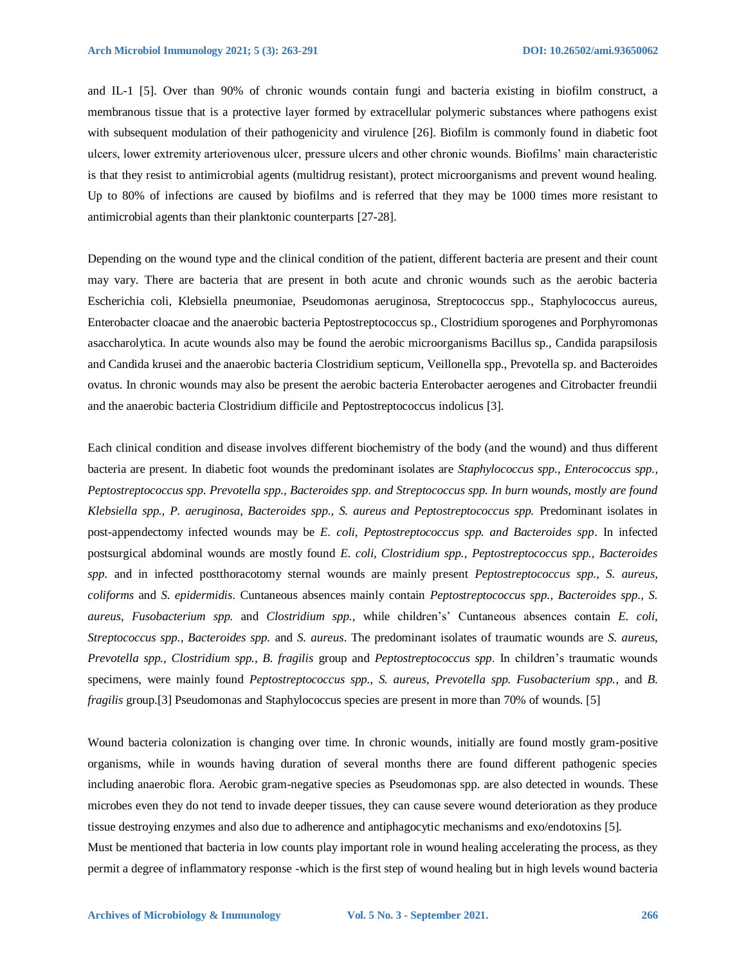and IL-1 [5]. Over than 90% of chronic wounds contain fungi and bacteria existing in biofilm construct, a membranous tissue that is a protective layer formed by extracellular polymeric substances where pathogens exist with subsequent modulation of their pathogenicity and virulence [26]. Biofilm is commonly found in diabetic foot ulcers, lower extremity arteriovenous ulcer, pressure ulcers and other chronic wounds. Biofilms' main characteristic is that they resist to antimicrobial agents (multidrug resistant), protect microorganisms and prevent wound healing. Up to 80% of infections are caused by biofilms and is referred that they may be 1000 times more resistant to antimicrobial agents than their planktonic counterparts [27-28].

Depending on the wound type and the clinical condition of the patient, different bacteria are present and their count may vary. There are bacteria that are present in both acute and chronic wounds such as the aerobic bacteria Escherichia coli, Klebsiella pneumoniae, Pseudomonas aeruginosa, Streptococcus spp., Staphylococcus aureus, Enterobacter cloacae and the anaerobic bacteria Peptostreptococcus sp., Clostridium sporogenes and Porphyromonas asaccharolytica. In acute wounds also may be found the aerobic microorganisms Bacillus sp., Candida parapsilosis and Candida krusei and the anaerobic bacteria Clostridium septicum, Veillonella spp., Prevotella sp. and Bacteroides ovatus. In chronic wounds may also be present the aerobic bacteria Enterobacter aerogenes and Citrobacter freundii and the anaerobic bacteria Clostridium difficile and Peptostreptococcus indolicus [3].

Each clinical condition and disease involves different biochemistry of the body (and the wound) and thus different bacteria are present. In diabetic foot wounds the predominant isolates are *Staphylococcus spp., Enterococcus spp., Peptostreptococcus spp. Prevotella spp., Bacteroides spp. and Streptococcus spp. In burn wounds, mostly are found Klebsiella spp., P. aeruginosa, Bacteroides spp., S. aureus and Peptostreptococcus spp.* Predominant isolates in post-appendectomy infected wounds may be *E. coli, Peptostreptococcus spp. and Bacteroides spp*. In infected postsurgical abdominal wounds are mostly found *E. coli, Clostridium spp., Peptostreptococcus spp., Bacteroides spp.* and in infected postthoracotomy sternal wounds are mainly present *Peptostreptococcus spp., S. aureus, coliforms* and *S. epidermidis*. Cuntaneous absences mainly contain *Peptostreptococcus spp., Bacteroides spp., S. aureus, Fusobacterium spp.* and *Clostridium spp.*, while children's' Cuntaneous absences contain *E. coli, Streptococcus spp., Bacteroides spp.* and *S. aureus*. The predominant isolates of traumatic wounds are *S. aureus, Prevotella spp., Clostridium spp., B. fragilis* group and *Peptostreptococcus spp*. In children's traumatic wounds specimens, were mainly found *Peptostreptococcus spp., S. aureus, Prevotella spp. Fusobacterium spp.*, and *B. fragilis* group. [3] Pseudomonas and Staphylococcus species are present in more than 70% of wounds. [5]

Wound bacteria colonization is changing over time. In chronic wounds, initially are found mostly gram-positive organisms, while in wounds having duration of several months there are found different pathogenic species including anaerobic flora. Aerobic gram-negative species as Pseudomonas spp. are also detected in wounds. These microbes even they do not tend to invade deeper tissues, they can cause severe wound deterioration as they produce tissue destroying enzymes and also due to adherence and antiphagocytic mechanisms and exo/endotoxins [5]. Must be mentioned that bacteria in low counts play important role in wound healing accelerating the process, as they permit a degree of inflammatory response -which is the first step of wound healing but in high levels wound bacteria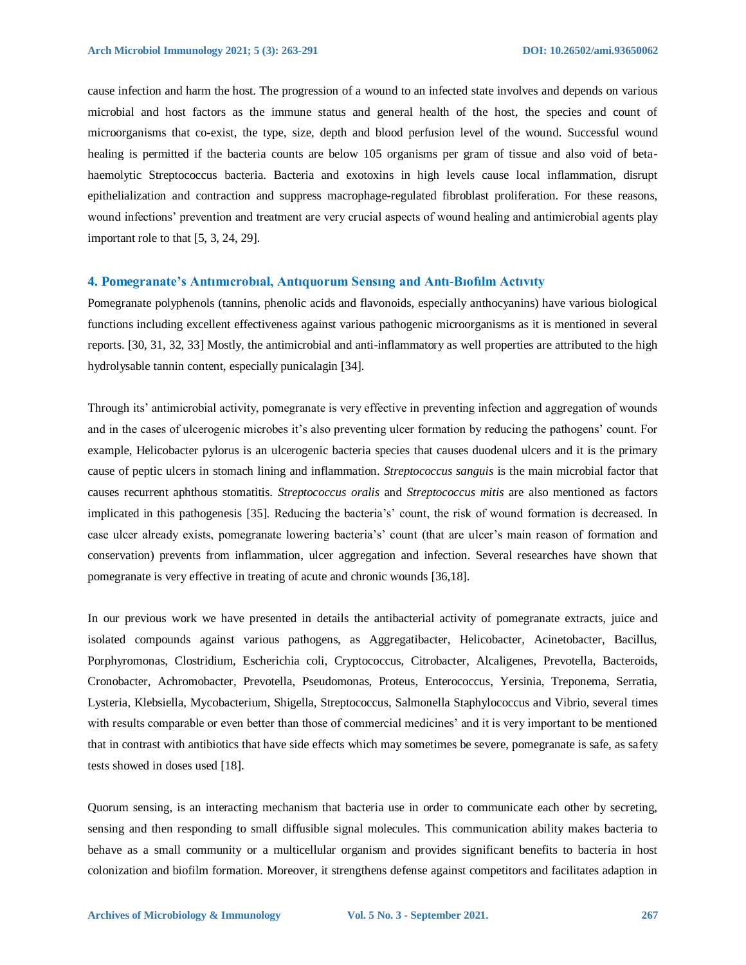cause infection and harm the host. The progression of a wound to an infected state involves and depends on various microbial and host factors as the immune status and general health of the host, the species and count of microorganisms that co-exist, the type, size, depth and blood perfusion level of the wound. Successful wound healing is permitted if the bacteria counts are below 105 organisms per gram of tissue and also void of betahaemolytic Streptococcus bacteria. Bacteria and exotoxins in high levels cause local inflammation, disrupt epithelialization and contraction and suppress macrophage-regulated fibroblast proliferation. For these reasons, wound infections' prevention and treatment are very crucial aspects of wound healing and antimicrobial agents play important role to that [5, 3, 24, 29].

#### **4. Pomegranate's Antımıcrobıal, Antıquorum Sensıng and Antı-Bıofılm Actıvıty**

Pomegranate polyphenols (tannins, phenolic acids and flavonoids, especially anthocyanins) have various biological functions including excellent effectiveness against various pathogenic microorganisms as it is mentioned in several reports. [30, 31, 32, 33] Mostly, the antimicrobial and anti-inflammatory as well properties are attributed to the high hydrolysable tannin content, especially punicalagin [34].

Through its' antimicrobial activity, pomegranate is very effective in preventing infection and aggregation of wounds and in the cases of ulcerogenic microbes it's also preventing ulcer formation by reducing the pathogens' count. For example, Helicobacter pylorus is an ulcerogenic bacteria species that causes duodenal ulcers and it is the primary cause of peptic ulcers in stomach lining and inflammation. *Streptococcus sanguis* is the main microbial factor that causes recurrent aphthous stomatitis. *Streptococcus oralis* and *Streptococcus mitis* are also mentioned as factors implicated in this pathogenesis [35]. Reducing the bacteria's' count, the risk of wound formation is decreased. In case ulcer already exists, pomegranate lowering bacteria's' count (that are ulcer's main reason of formation and conservation) prevents from inflammation, ulcer aggregation and infection. Several researches have shown that pomegranate is very effective in treating of acute and chronic wounds [36,18].

In our previous work we have presented in details the antibacterial activity of pomegranate extracts, juice and isolated compounds against various pathogens, as Aggregatibacter, Helicobacter, Acinetobacter, Bacillus, Porphyromonas, Clostridium, Escherichia coli, Cryptococcus, Citrobacter, Alcaligenes, Prevotella, Bacteroids, Cronobacter, Achromobacter, Prevotella, Pseudomonas, Proteus, Enterococcus, Yersinia, Treponema, Serratia, Lysteria, Klebsiella, Mycobacterium, Shigella, Streptococcus, Salmonella Staphylococcus and Vibrio, several times with results comparable or even better than those of commercial medicines' and it is very important to be mentioned that in contrast with antibiotics that have side effects which may sometimes be severe, pomegranate is safe, as safety tests showed in doses used [18].

Quorum sensing, is an interacting mechanism that bacteria use in order to communicate each other by secreting, sensing and then responding to small diffusible signal molecules. This communication ability makes bacteria to behave as a small community or a multicellular organism and provides significant benefits to bacteria in host colonization and biofilm formation. Moreover, it strengthens defense against competitors and facilitates adaption in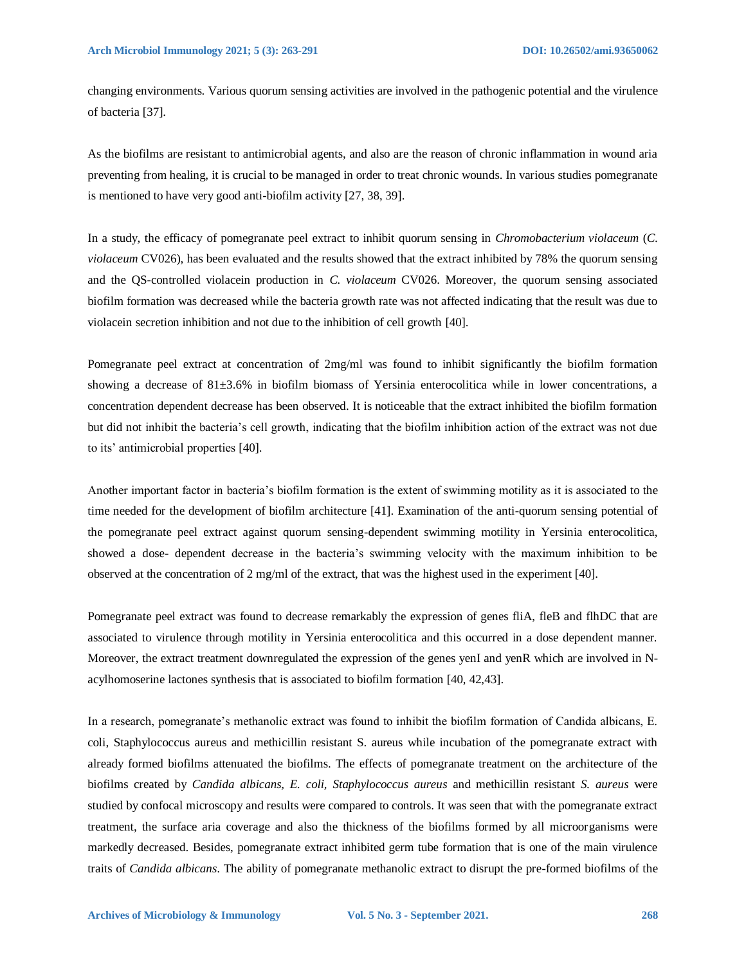changing environments. Various quorum sensing activities are involved in the pathogenic potential and the virulence of bacteria [37].

As the biofilms are resistant to antimicrobial agents, and also are the reason of chronic inflammation in wound aria preventing from healing, it is crucial to be managed in order to treat chronic wounds. In various studies pomegranate is mentioned to have very good anti-biofilm activity [27, 38, 39].

In a study, the efficacy of pomegranate peel extract to inhibit quorum sensing in *Chromobacterium violaceum* (*C. violaceum* CV026), has been evaluated and the results showed that the extract inhibited by 78% the quorum sensing and the QS-controlled violacein production in *C. violaceum* CV026. Moreover, the quorum sensing associated biofilm formation was decreased while the bacteria growth rate was not affected indicating that the result was due to violacein secretion inhibition and not due to the inhibition of cell growth [40].

Pomegranate peel extract at concentration of 2mg/ml was found to inhibit significantly the biofilm formation showing a decrease of 81±3.6% in biofilm biomass of Yersinia enterocolitica while in lower concentrations, a concentration dependent decrease has been observed. It is noticeable that the extract inhibited the biofilm formation but did not inhibit the bacteria's cell growth, indicating that the biofilm inhibition action of the extract was not due to its' antimicrobial properties [40].

Another important factor in bacteria's biofilm formation is the extent of swimming motility as it is associated to the time needed for the development of biofilm architecture [41]. Examination of the anti-quorum sensing potential of the pomegranate peel extract against quorum sensing-dependent swimming motility in Yersinia enterocolitica, showed a dose- dependent decrease in the bacteria's swimming velocity with the maximum inhibition to be observed at the concentration of 2 mg/ml of the extract, that was the highest used in the experiment [40].

Pomegranate peel extract was found to decrease remarkably the expression of genes fliA, fleB and flhDC that are associated to virulence through motility in Yersinia enterocolitica and this occurred in a dose dependent manner. Moreover, the extract treatment downregulated the expression of the genes yenI and yenR which are involved in Nacylhomoserine lactones synthesis that is associated to biofilm formation [40, 42,43].

In a research, pomegranate's methanolic extract was found to inhibit the biofilm formation of Candida albicans, E. coli, Staphylococcus aureus and methicillin resistant S. aureus while incubation of the pomegranate extract with already formed biofilms attenuated the biofilms. The effects of pomegranate treatment on the architecture of the biofilms created by *Candida albicans, E. coli, Staphylococcus aureus* and methicillin resistant *S. aureus* were studied by confocal microscopy and results were compared to controls. It was seen that with the pomegranate extract treatment, the surface aria coverage and also the thickness of the biofilms formed by all microorganisms were markedly decreased. Besides, pomegranate extract inhibited germ tube formation that is one of the main virulence traits of *Candida albicans*. The ability of pomegranate methanolic extract to disrupt the pre-formed biofilms of the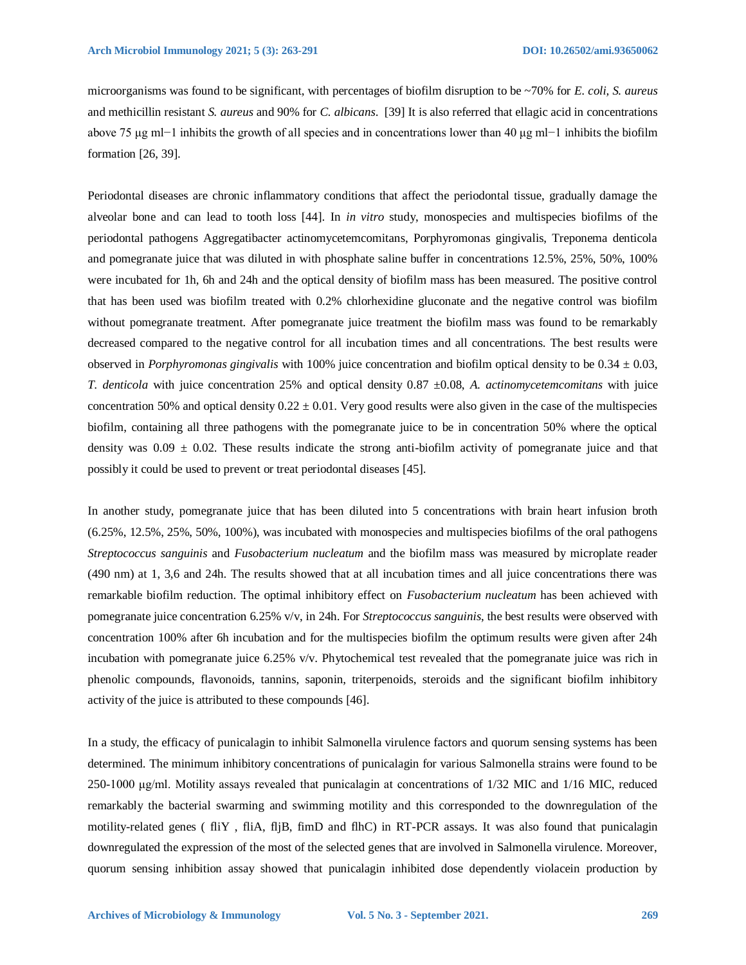microorganisms was found to be significant, with percentages of biofilm disruption to be ~70% for *E. coli, S. aureus* and methicillin resistant *S. aureus* and 90% for *C. albicans*. [39] It is also referred that ellagic acid in concentrations above 75 μg ml−1 inhibits the growth of all species and in concentrations lower than 40 μg ml−1 inhibits the biofilm formation [26, 39].

Periodontal diseases are chronic inflammatory conditions that affect the periodontal tissue, gradually damage the alveolar bone and can lead to tooth loss [44]. In *in vitro* study, monospecies and multispecies biofilms of the periodontal pathogens Aggregatibacter actinomycetemcomitans, Porphyromonas gingivalis, Treponema denticola and pomegranate juice that was diluted in with phosphate saline buffer in concentrations 12.5%, 25%, 50%, 100% were incubated for 1h, 6h and 24h and the optical density of biofilm mass has been measured. The positive control that has been used was biofilm treated with 0.2% chlorhexidine gluconate and the negative control was biofilm without pomegranate treatment. After pomegranate juice treatment the biofilm mass was found to be remarkably decreased compared to the negative control for all incubation times and all concentrations. The best results were observed in *Porphyromonas gingivalis* with 100% juice concentration and biofilm optical density to be 0.34 ± 0.03, *T. denticola* with juice concentration 25% and optical density 0.87 ±0.08, *A. actinomycetemcomitans* with juice concentration 50% and optical density  $0.22 \pm 0.01$ . Very good results were also given in the case of the multispecies biofilm, containing all three pathogens with the pomegranate juice to be in concentration 50% where the optical density was  $0.09 \pm 0.02$ . These results indicate the strong anti-biofilm activity of pomegranate juice and that possibly it could be used to prevent or treat periodontal diseases [45].

In another study, pomegranate juice that has been diluted into 5 concentrations with brain heart infusion broth (6.25%, 12.5%, 25%, 50%, 100%), was incubated with monospecies and multispecies biofilms of the oral pathogens *Streptococcus sanguinis* and *Fusobacterium nucleatum* and the biofilm mass was measured by microplate reader (490 nm) at 1, 3,6 and 24h. The results showed that at all incubation times and all juice concentrations there was remarkable biofilm reduction. The optimal inhibitory effect on *Fusobacterium nucleatum* has been achieved with pomegranate juice concentration 6.25% v/v, in 24h. For *Streptococcus sanguinis*, the best results were observed with concentration 100% after 6h incubation and for the multispecies biofilm the optimum results were given after 24h incubation with pomegranate juice 6.25% v/v. Phytochemical test revealed that the pomegranate juice was rich in phenolic compounds, flavonoids, tannins, saponin, triterpenoids, steroids and the significant biofilm inhibitory activity of the juice is attributed to these compounds [46].

In a study, the efficacy of punicalagin to inhibit Salmonella virulence factors and quorum sensing systems has been determined. The minimum inhibitory concentrations of punicalagin for various Salmonella strains were found to be 250-1000 μg/ml. Motility assays revealed that punicalagin at concentrations of 1/32 MIC and 1/16 MIC, reduced remarkably the bacterial swarming and swimming motility and this corresponded to the downregulation of the motility-related genes ( fliY , fliA, fljB, fimD and flhC) in RT-PCR assays. It was also found that punicalagin downregulated the expression of the most of the selected genes that are involved in Salmonella virulence. Moreover, quorum sensing inhibition assay showed that punicalagin inhibited dose dependently violacein production by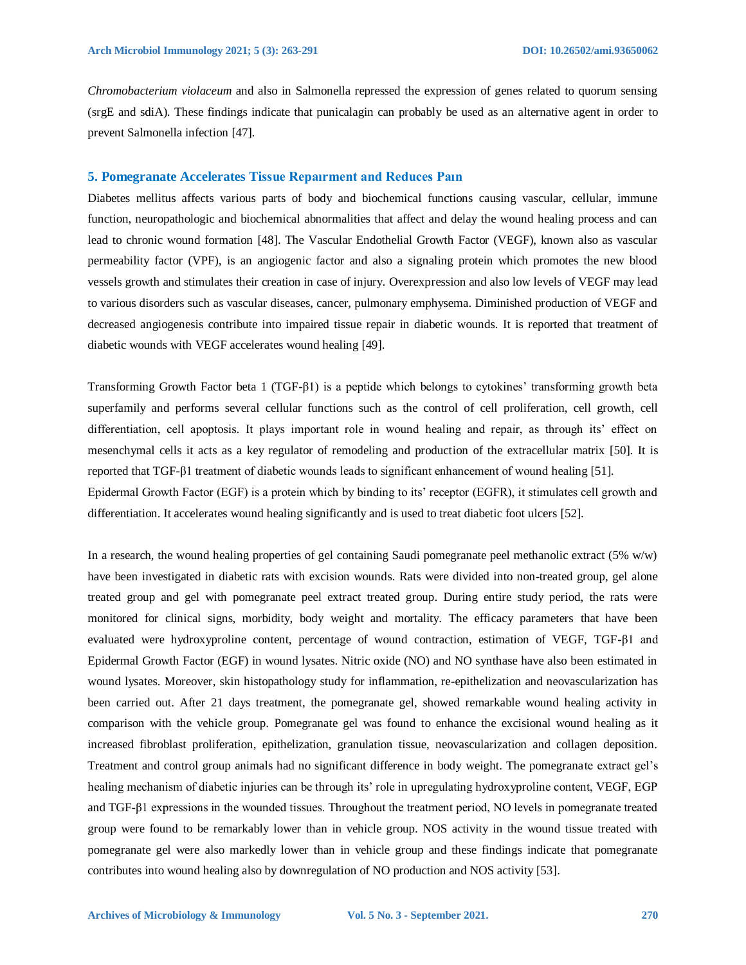*Chromobacterium violaceum* and also in Salmonella repressed the expression of genes related to quorum sensing (srgE and sdiA). These findings indicate that punicalagin can probably be used as an alternative agent in order to prevent Salmonella infection [47].

#### **5. Pomegranate Accelerates Tissue Repaırment and Reduces Paın**

Diabetes mellitus affects various parts of body and biochemical functions causing vascular, cellular, immune function, neuropathologic and biochemical abnormalities that affect and delay the wound healing process and can lead to chronic wound formation [48]. The Vascular Endothelial Growth Factor (VEGF), known also as vascular permeability factor (VPF), is an angiogenic factor and also a signaling protein which promotes the new blood vessels growth and stimulates their creation in case of injury. Overexpression and also low levels of VEGF may lead to various disorders such as vascular diseases, cancer, pulmonary emphysema. Diminished production of VEGF and decreased angiogenesis contribute into impaired tissue repair in diabetic wounds. It is reported that treatment of diabetic wounds with VEGF accelerates wound healing [49].

Transforming Growth Factor beta 1 (TGF-β1) is a peptide which belongs to cytokines' transforming growth beta superfamily and performs several cellular functions such as the control of cell proliferation, cell growth, cell differentiation, cell apoptosis. It plays important role in wound healing and repair, as through its' effect on mesenchymal cells it acts as a key regulator of remodeling and production of the extracellular matrix [50]. It is reported that TGF-β1 treatment of diabetic wounds leads to significant enhancement of wound healing [51]. Epidermal Growth Factor (EGF) is a protein which by binding to its' receptor (EGFR), it stimulates cell growth and differentiation. It accelerates wound healing significantly and is used to treat diabetic foot ulcers [52].

In a research, the wound healing properties of gel containing Saudi pomegranate peel methanolic extract  $(5\% w/w)$ have been investigated in diabetic rats with excision wounds. Rats were divided into non-treated group, gel alone treated group and gel with pomegranate peel extract treated group. During entire study period, the rats were monitored for clinical signs, morbidity, body weight and mortality. The efficacy parameters that have been evaluated were hydroxyproline content, percentage of wound contraction, estimation of VEGF, TGF-β1 and Epidermal Growth Factor (EGF) in wound lysates. Nitric oxide (NO) and NO synthase have also been estimated in wound lysates. Moreover, skin histopathology study for inflammation, re-epithelization and neovascularization has been carried out. After 21 days treatment, the pomegranate gel, showed remarkable wound healing activity in comparison with the vehicle group. Pomegranate gel was found to enhance the excisional wound healing as it increased fibroblast proliferation, epithelization, granulation tissue, neovascularization and collagen deposition. Treatment and control group animals had no significant difference in body weight. The pomegranate extract gel's healing mechanism of diabetic injuries can be through its' role in upregulating hydroxyproline content, VEGF, EGP and TGF-β1 expressions in the wounded tissues. Throughout the treatment period, NO levels in pomegranate treated group were found to be remarkably lower than in vehicle group. NOS activity in the wound tissue treated with pomegranate gel were also markedly lower than in vehicle group and these findings indicate that pomegranate contributes into wound healing also by downregulation of NO production and NOS activity [53].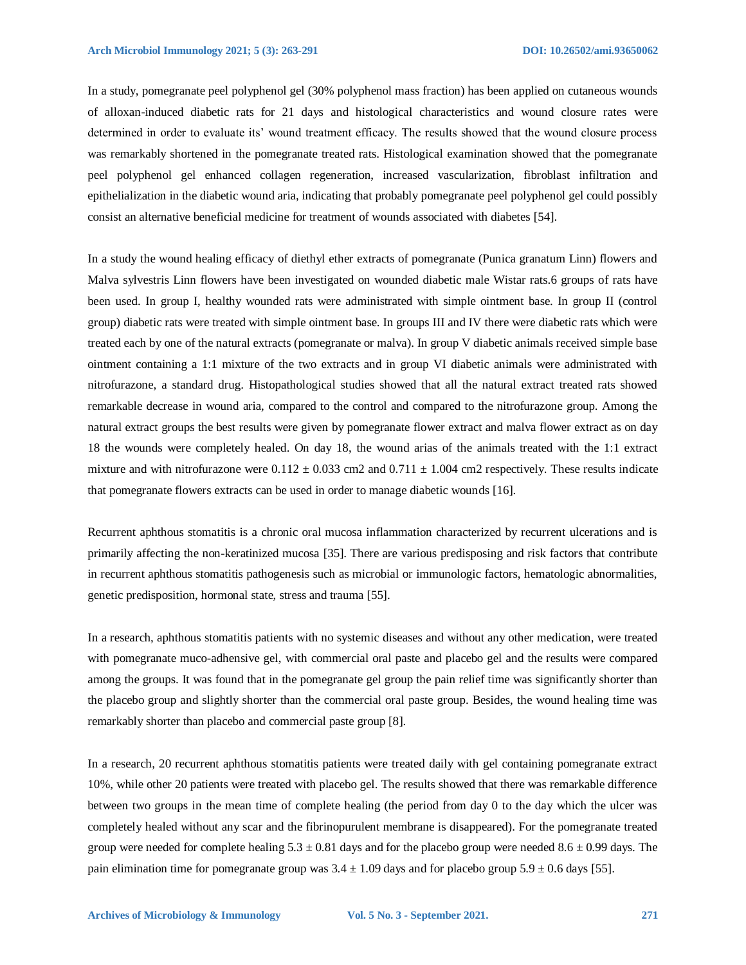In a study, pomegranate peel polyphenol gel (30% polyphenol mass fraction) has been applied on cutaneous wounds of alloxan-induced diabetic rats for 21 days and histological characteristics and wound closure rates were determined in order to evaluate its' wound treatment efficacy. The results showed that the wound closure process was remarkably shortened in the pomegranate treated rats. Histological examination showed that the pomegranate peel polyphenol gel enhanced collagen regeneration, increased vascularization, fibroblast infiltration and epithelialization in the diabetic wound aria, indicating that probably pomegranate peel polyphenol gel could possibly consist an alternative beneficial medicine for treatment of wounds associated with diabetes [54].

In a study the wound healing efficacy of diethyl ether extracts of pomegranate (Punica granatum Linn) flowers and Malva sylvestris Linn flowers have been investigated on wounded diabetic male Wistar rats.6 groups of rats have been used. In group I, healthy wounded rats were administrated with simple ointment base. In group II (control group) diabetic rats were treated with simple ointment base. In groups III and IV there were diabetic rats which were treated each by one of the natural extracts (pomegranate or malva). In group V diabetic animals received simple base ointment containing a 1:1 mixture of the two extracts and in group VI diabetic animals were administrated with nitrofurazone, a standard drug. Histopathological studies showed that all the natural extract treated rats showed remarkable decrease in wound aria, compared to the control and compared to the nitrofurazone group. Among the natural extract groups the best results were given by pomegranate flower extract and malva flower extract as on day 18 the wounds were completely healed. On day 18, the wound arias of the animals treated with the 1:1 extract mixture and with nitrofurazone were  $0.112 \pm 0.033$  cm2 and  $0.711 \pm 1.004$  cm2 respectively. These results indicate that pomegranate flowers extracts can be used in order to manage diabetic wounds [16].

Recurrent aphthous stomatitis is a chronic oral mucosa inflammation characterized by recurrent ulcerations and is primarily affecting the non-keratinized mucosa [35]. There are various predisposing and risk factors that contribute in recurrent aphthous stomatitis pathogenesis such as microbial or immunologic factors, hematologic abnormalities, genetic predisposition, hormonal state, stress and trauma [55].

In a research, aphthous stomatitis patients with no systemic diseases and without any other medication, were treated with pomegranate muco-adhensive gel, with commercial oral paste and placebo gel and the results were compared among the groups. It was found that in the pomegranate gel group the pain relief time was significantly shorter than the placebo group and slightly shorter than the commercial oral paste group. Besides, the wound healing time was remarkably shorter than placebo and commercial paste group [8].

In a research, 20 recurrent aphthous stomatitis patients were treated daily with gel containing pomegranate extract 10%, while other 20 patients were treated with placebo gel. The results showed that there was remarkable difference between two groups in the mean time of complete healing (the period from day 0 to the day which the ulcer was completely healed without any scar and the fibrinopurulent membrane is disappeared). For the pomegranate treated group were needed for complete healing  $5.3 \pm 0.81$  days and for the placebo group were needed  $8.6 \pm 0.99$  days. The pain elimination time for pomegranate group was  $3.4 \pm 1.09$  days and for placebo group  $5.9 \pm 0.6$  days [55].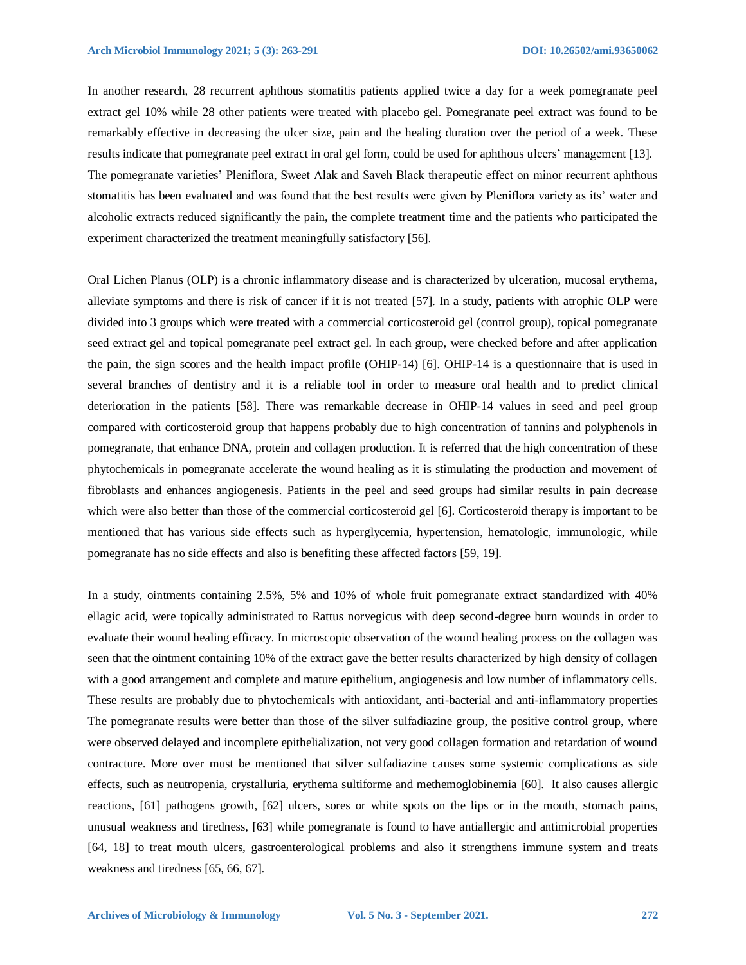In another research, 28 recurrent aphthous stomatitis patients applied twice a day for a week pomegranate peel extract gel 10% while 28 other patients were treated with placebo gel. Pomegranate peel extract was found to be remarkably effective in decreasing the ulcer size, pain and the healing duration over the period of a week. These results indicate that pomegranate peel extract in oral gel form, could be used for aphthous ulcers' management [13]. The pomegranate varieties' Pleniflora, Sweet Alak and Saveh Black therapeutic effect on minor recurrent aphthous stomatitis has been evaluated and was found that the best results were given by Pleniflora variety as its' water and alcoholic extracts reduced significantly the pain, the complete treatment time and the patients who participated the experiment characterized the treatment meaningfully satisfactory [56].

Oral Lichen Planus (OLP) is a chronic inflammatory disease and is characterized by ulceration, mucosal erythema, alleviate symptoms and there is risk of cancer if it is not treated [57]. In a study, patients with atrophic OLP were divided into 3 groups which were treated with a commercial corticosteroid gel (control group), topical pomegranate seed extract gel and topical pomegranate peel extract gel. In each group, were checked before and after application the pain, the sign scores and the health impact profile (OHIP-14) [6]. OHIP-14 is a questionnaire that is used in several branches of dentistry and it is a reliable tool in order to measure oral health and to predict clinical deterioration in the patients [58]. There was remarkable decrease in OHIP-14 values in seed and peel group compared with corticosteroid group that happens probably due to high concentration of tannins and polyphenols in pomegranate, that enhance DNA, protein and collagen production. It is referred that the high concentration of these phytochemicals in pomegranate accelerate the wound healing as it is stimulating the production and movement of fibroblasts and enhances angiogenesis. Patients in the peel and seed groups had similar results in pain decrease which were also better than those of the commercial corticosteroid gel [6]. Corticosteroid therapy is important to be mentioned that has various side effects such as hyperglycemia, hypertension, hematologic, immunologic, while pomegranate has no side effects and also is benefiting these affected factors [59, 19].

In a study, ointments containing 2.5%, 5% and 10% of whole fruit pomegranate extract standardized with 40% ellagic acid, were topically administrated to Rattus norvegicus with deep second-degree burn wounds in order to evaluate their wound healing efficacy. In microscopic observation of the wound healing process on the collagen was seen that the ointment containing 10% of the extract gave the better results characterized by high density of collagen with a good arrangement and complete and mature epithelium, angiogenesis and low number of inflammatory cells. These results are probably due to phytochemicals with antioxidant, anti-bacterial and anti-inflammatory properties The pomegranate results were better than those of the silver sulfadiazine group, the positive control group, where were observed delayed and incomplete epithelialization, not very good collagen formation and retardation of wound contracture. More over must be mentioned that silver sulfadiazine causes some systemic complications as side effects, such as neutropenia, crystalluria, erythema sultiforme and methemoglobinemia [60]. It also causes allergic reactions, [61] pathogens growth, [62] ulcers, sores or white spots on the lips or in the mouth, stomach pains, unusual weakness and tiredness, [63] while pomegranate is found to have antiallergic and antimicrobial properties [64, 18] to treat mouth ulcers, gastroenterological problems and also it strengthens immune system and treats weakness and tiredness [65, 66, 67].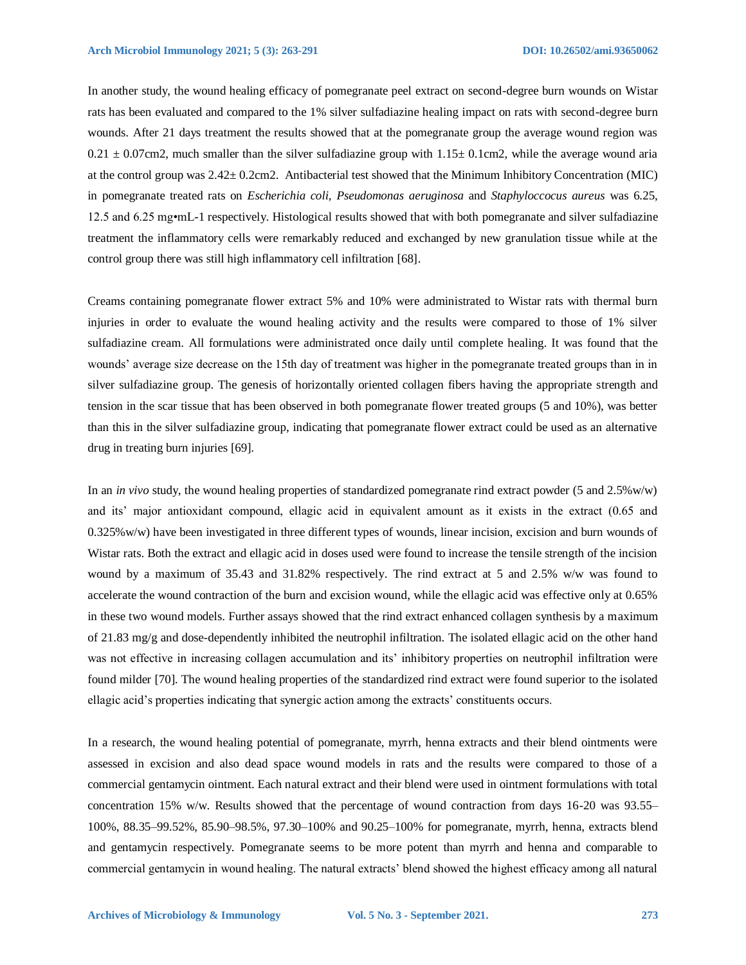In another study, the wound healing efficacy of pomegranate peel extract on second-degree burn wounds on Wistar rats has been evaluated and compared to the 1% silver sulfadiazine healing impact on rats with second-degree burn wounds. After 21 days treatment the results showed that at the pomegranate group the average wound region was  $0.21 \pm 0.07$ cm2, much smaller than the silver sulfadiazine group with  $1.15 \pm 0.1$ cm2, while the average wound aria at the control group was 2.42± 0.2cm2. Antibacterial test showed that the Minimum Inhibitory Concentration (MIC) in pomegranate treated rats on *Escherichia coli, Pseudomonas aeruginosa* and *Staphyloccocus aureus* was 6.25, 12.5 and 6.25 mg•mL-1 respectively. Histological results showed that with both pomegranate and silver sulfadiazine treatment the inflammatory cells were remarkably reduced and exchanged by new granulation tissue while at the control group there was still high inflammatory cell infiltration [68].

Creams containing pomegranate flower extract 5% and 10% were administrated to Wistar rats with thermal burn injuries in order to evaluate the wound healing activity and the results were compared to those of 1% silver sulfadiazine cream. All formulations were administrated once daily until complete healing. It was found that the wounds' average size decrease on the 15th day of treatment was higher in the pomegranate treated groups than in in silver sulfadiazine group. The genesis of horizontally oriented collagen fibers having the appropriate strength and tension in the scar tissue that has been observed in both pomegranate flower treated groups (5 and 10%), was better than this in the silver sulfadiazine group, indicating that pomegranate flower extract could be used as an alternative drug in treating burn injuries [69].

In an *in vivo* study, the wound healing properties of standardized pomegranate rind extract powder (5 and 2.5%w/w) and its' major antioxidant compound, ellagic acid in equivalent amount as it exists in the extract (0.65 and 0.325%w/w) have been investigated in three different types of wounds, linear incision, excision and burn wounds of Wistar rats. Both the extract and ellagic acid in doses used were found to increase the tensile strength of the incision wound by a maximum of 35.43 and 31.82% respectively. The rind extract at 5 and 2.5% w/w was found to accelerate the wound contraction of the burn and excision wound, while the ellagic acid was effective only at 0.65% in these two wound models. Further assays showed that the rind extract enhanced collagen synthesis by a maximum of 21.83 mg/g and dose-dependently inhibited the neutrophil infiltration. The isolated ellagic acid on the other hand was not effective in increasing collagen accumulation and its' inhibitory properties on neutrophil infiltration were found milder [70]. The wound healing properties of the standardized rind extract were found superior to the isolated ellagic acid's properties indicating that synergic action among the extracts' constituents occurs.

In a research, the wound healing potential of pomegranate, myrrh, henna extracts and their blend ointments were assessed in excision and also dead space wound models in rats and the results were compared to those of a commercial gentamycin ointment. Each natural extract and their blend were used in ointment formulations with total concentration 15% w/w. Results showed that the percentage of wound contraction from days 16-20 was 93.55– 100%, 88.35–99.52%, 85.90–98.5%, 97.30–100% and 90.25–100% for pomegranate, myrrh, henna, extracts blend and gentamycin respectively. Pomegranate seems to be more potent than myrrh and henna and comparable to commercial gentamycin in wound healing. The natural extracts' blend showed the highest efficacy among all natural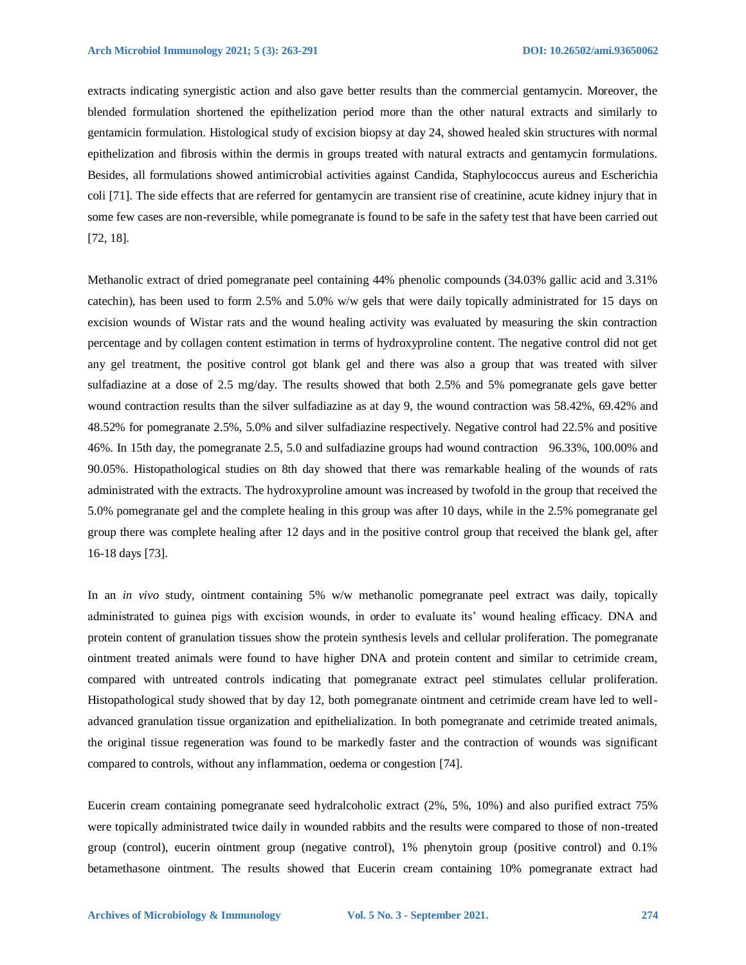extracts indicating synergistic action and also gave better results than the commercial gentamycin. Moreover, the blended formulation shortened the epithelization period more than the other natural extracts and similarly to gentamicin formulation. Histological study of excision biopsy at day 24, showed healed skin structures with normal epithelization and fibrosis within the dermis in groups treated with natural extracts and gentamycin formulations. Besides, all formulations showed antimicrobial activities against Candida, Staphylococcus aureus and Escherichia coli [71]. The side effects that are referred for gentamycin are transient rise of creatinine, acute kidney injury that in some few cases are non-reversible, while pomegranate is found to be safe in the safety test that have been carried out [72, 18].

Methanolic extract of dried pomegranate peel containing 44% phenolic compounds (34.03% gallic acid and 3.31% catechin), has been used to form 2.5% and 5.0% w/w gels that were daily topically administrated for 15 days on excision wounds of Wistar rats and the wound healing activity was evaluated by measuring the skin contraction percentage and by collagen content estimation in terms of hydroxyproline content. The negative control did not get any gel treatment, the positive control got blank gel and there was also a group that was treated with silver sulfadiazine at a dose of 2.5 mg/day. The results showed that both 2.5% and 5% pomegranate gels gave better wound contraction results than the silver sulfadiazine as at day 9, the wound contraction was 58.42%, 69.42% and 48.52% for pomegranate 2.5%, 5.0% and silver sulfadiazine respectively. Negative control had 22.5% and positive 46%. In 15th day, the pomegranate 2.5, 5.0 and sulfadiazine groups had wound contraction 96.33%, 100.00% and 90.05%. Histopathological studies on 8th day showed that there was remarkable healing of the wounds of rats administrated with the extracts. The hydroxyproline amount was increased by twofold in the group that received the 5.0% pomegranate gel and the complete healing in this group was after 10 days, while in the 2.5% pomegranate gel group there was complete healing after 12 days and in the positive control group that received the blank gel, after 16-18 days [73].

In an *in vivo* study, ointment containing 5% w/w methanolic pomegranate peel extract was daily, topically administrated to guinea pigs with excision wounds, in order to evaluate its' wound healing efficacy. DNA and protein content of granulation tissues show the protein synthesis levels and cellular proliferation. The pomegranate ointment treated animals were found to have higher DNA and protein content and similar to cetrimide cream, compared with untreated controls indicating that pomegranate extract peel stimulates cellular proliferation. Histopathological study showed that by day 12, both pomegranate ointment and cetrimide cream have led to welladvanced granulation tissue organization and epithelialization. In both pomegranate and cetrimide treated animals, the original tissue regeneration was found to be markedly faster and the contraction of wounds was significant compared to controls, without any inflammation, oedema or congestion [74].

Eucerin cream containing pomegranate seed hydralcoholic extract (2%, 5%, 10%) and also purified extract 75% were topically administrated twice daily in wounded rabbits and the results were compared to those of non-treated group (control), eucerin ointment group (negative control), 1% phenytoin group (positive control) and 0.1% betamethasone ointment. The results showed that Eucerin cream containing 10% pomegranate extract had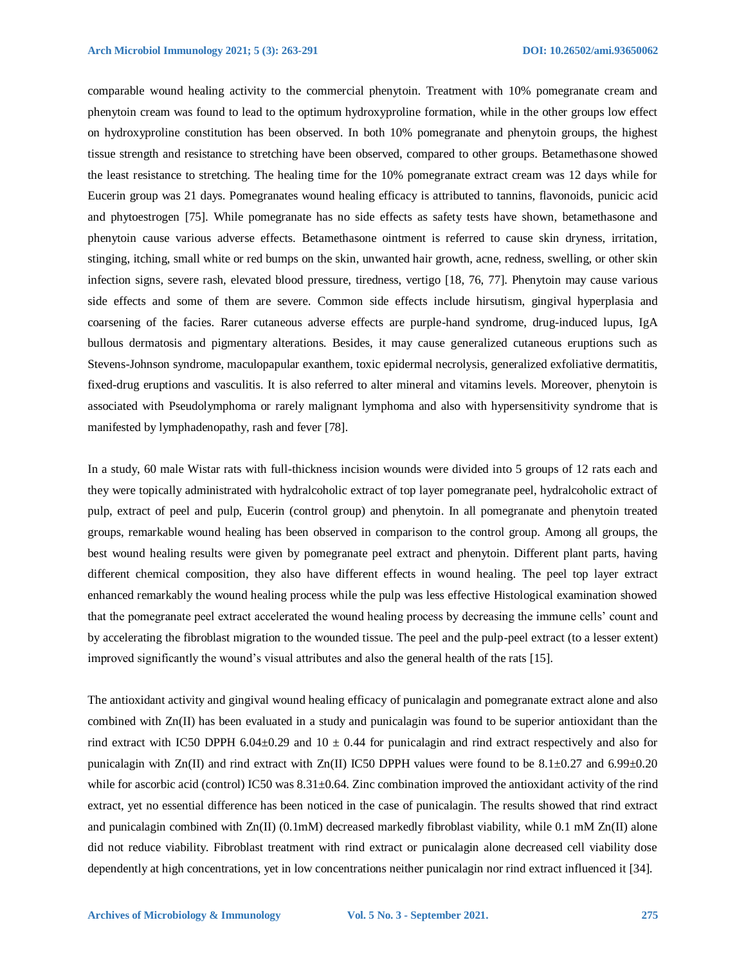comparable wound healing activity to the commercial phenytoin. Treatment with 10% pomegranate cream and phenytoin cream was found to lead to the optimum hydroxyproline formation, while in the other groups low effect on hydroxyproline constitution has been observed. In both 10% pomegranate and phenytoin groups, the highest tissue strength and resistance to stretching have been observed, compared to other groups. Betamethasone showed the least resistance to stretching. The healing time for the 10% pomegranate extract cream was 12 days while for Eucerin group was 21 days. Pomegranates wound healing efficacy is attributed to tannins, flavonoids, punicic acid and phytoestrogen [75]. While pomegranate has no side effects as safety tests have shown, betamethasone and phenytoin cause various adverse effects. Betamethasone ointment is referred to cause skin dryness, irritation, stinging, itching, small white or red bumps on the skin, unwanted hair growth, acne, redness, swelling, or other skin infection signs, severe rash, elevated blood pressure, tiredness, vertigo [18, 76, 77]. Phenytoin may cause various side effects and some of them are severe. Common side effects include hirsutism, gingival hyperplasia and coarsening of the facies. Rarer cutaneous adverse effects are purple-hand syndrome, drug-induced lupus, IgA bullous dermatosis and pigmentary alterations. Besides, it may cause generalized cutaneous eruptions such as Stevens-Johnson syndrome, maculopapular exanthem, toxic epidermal necrolysis, generalized exfoliative dermatitis, fixed-drug eruptions and vasculitis. It is also referred to alter mineral and vitamins levels. Moreover, phenytoin is associated with Pseudolymphoma or rarely malignant lymphoma and also with hypersensitivity syndrome that is manifested by lymphadenopathy, rash and fever [78].

In a study, 60 male Wistar rats with full-thickness incision wounds were divided into 5 groups of 12 rats each and they were topically administrated with hydralcoholic extract of top layer pomegranate peel, hydralcoholic extract of pulp, extract of peel and pulp, Eucerin (control group) and phenytoin. In all pomegranate and phenytoin treated groups, remarkable wound healing has been observed in comparison to the control group. Among all groups, the best wound healing results were given by pomegranate peel extract and phenytoin. Different plant parts, having different chemical composition, they also have different effects in wound healing. The peel top layer extract enhanced remarkably the wound healing process while the pulp was less effective Histological examination showed that the pomegranate peel extract accelerated the wound healing process by decreasing the immune cells' count and by accelerating the fibroblast migration to the wounded tissue. The peel and the pulp-peel extract (to a lesser extent) improved significantly the wound's visual attributes and also the general health of the rats [15].

The antioxidant activity and gingival wound healing efficacy of punicalagin and pomegranate extract alone and also combined with Zn(II) has been evaluated in a study and punicalagin was found to be superior antioxidant than the rind extract with IC50 DPPH 6.04 $\pm$ 0.29 and 10  $\pm$  0.44 for punicalagin and rind extract respectively and also for punicalagin with Zn(II) and rind extract with Zn(II) IC50 DPPH values were found to be 8.1±0.27 and 6.99±0.20 while for ascorbic acid (control) IC50 was  $8.31\pm0.64$ . Zinc combination improved the antioxidant activity of the rind extract, yet no essential difference has been noticed in the case of punicalagin. The results showed that rind extract and punicalagin combined with Zn(II) (0.1mM) decreased markedly fibroblast viability, while 0.1 mM Zn(II) alone did not reduce viability. Fibroblast treatment with rind extract or punicalagin alone decreased cell viability dose dependently at high concentrations, yet in low concentrations neither punicalagin nor rind extract influenced it [34].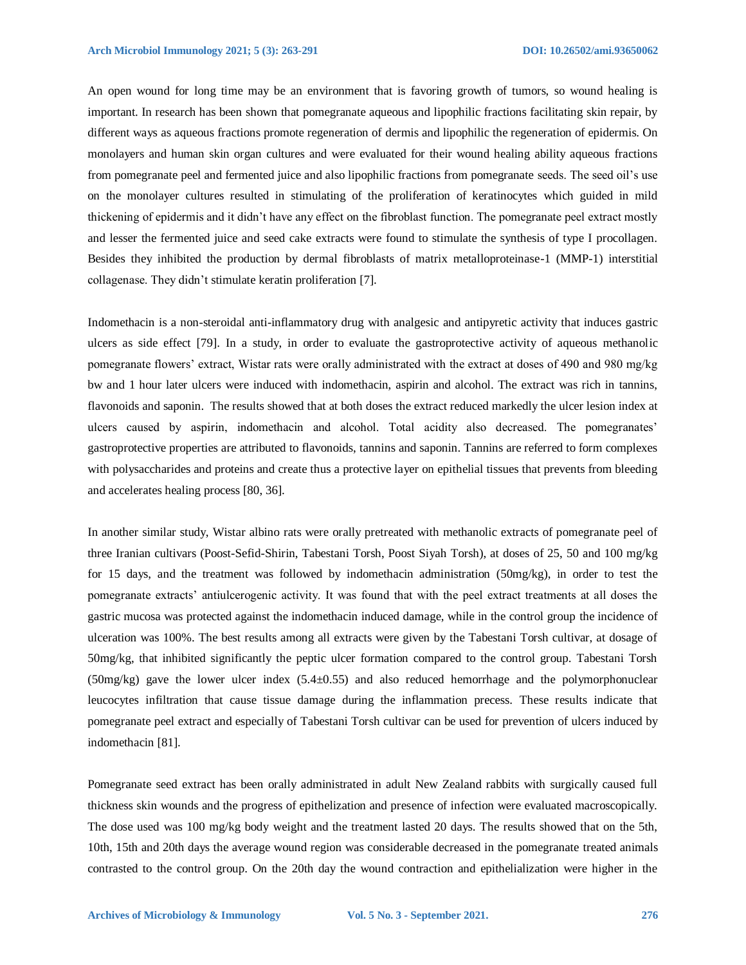An open wound for long time may be an environment that is favoring growth of tumors, so wound healing is important. In research has been shown that pomegranate aqueous and lipophilic fractions facilitating skin repair, by different ways as aqueous fractions promote regeneration of dermis and lipophilic the regeneration of epidermis. On monolayers and human skin organ cultures and were evaluated for their wound healing ability aqueous fractions from pomegranate peel and fermented juice and also lipophilic fractions from pomegranate seeds. The seed oil's use on the monolayer cultures resulted in stimulating of the proliferation of keratinocytes which guided in mild thickening of epidermis and it didn't have any effect on the fibroblast function. The pomegranate peel extract mostly and lesser the fermented juice and seed cake extracts were found to stimulate the synthesis of type I procollagen. Besides they inhibited the production by dermal fibroblasts of matrix metalloproteinase-1 (MMP-1) interstitial collagenase. They didn't stimulate keratin proliferation [7].

Indomethacin is a non-steroidal anti-inflammatory drug with analgesic and antipyretic activity that induces gastric ulcers as side effect [79]. In a study, in order to evaluate the gastroprotective activity of aqueous methanolic pomegranate flowers' extract, Wistar rats were orally administrated with the extract at doses of 490 and 980 mg/kg bw and 1 hour later ulcers were induced with indomethacin, aspirin and alcohol. The extract was rich in tannins, flavonoids and saponin. The results showed that at both doses the extract reduced markedly the ulcer lesion index at ulcers caused by aspirin, indomethacin and alcohol. Total acidity also decreased. The pomegranates' gastroprotective properties are attributed to flavonoids, tannins and saponin. Tannins are referred to form complexes with polysaccharides and proteins and create thus a protective layer on epithelial tissues that prevents from bleeding and accelerates healing process [80, 36].

In another similar study, Wistar albino rats were orally pretreated with methanolic extracts of pomegranate peel of three Iranian cultivars (Poost-Sefid-Shirin, Tabestani Torsh, Poost Siyah Torsh), at doses of 25, 50 and 100 mg/kg for 15 days, and the treatment was followed by indomethacin administration (50mg/kg), in order to test the pomegranate extracts' antiulcerogenic activity. It was found that with the peel extract treatments at all doses the gastric mucosa was protected against the indomethacin induced damage, while in the control group the incidence of ulceration was 100%. The best results among all extracts were given by the Tabestani Torsh cultivar, at dosage of 50mg/kg, that inhibited significantly the peptic ulcer formation compared to the control group. Tabestani Torsh (50mg/kg) gave the lower ulcer index  $(5.4\pm 0.55)$  and also reduced hemorrhage and the polymorphonuclear leucocytes infiltration that cause tissue damage during the inflammation precess. These results indicate that pomegranate peel extract and especially of Tabestani Torsh cultivar can be used for prevention of ulcers induced by indomethacin [81].

Pomegranate seed extract has been orally administrated in adult New Zealand rabbits with surgically caused full thickness skin wounds and the progress of epithelization and presence of infection were evaluated macroscopically. The dose used was 100 mg/kg body weight and the treatment lasted 20 days. The results showed that on the 5th, 10th, 15th and 20th days the average wound region was considerable decreased in the pomegranate treated animals contrasted to the control group. On the 20th day the wound contraction and epithelialization were higher in the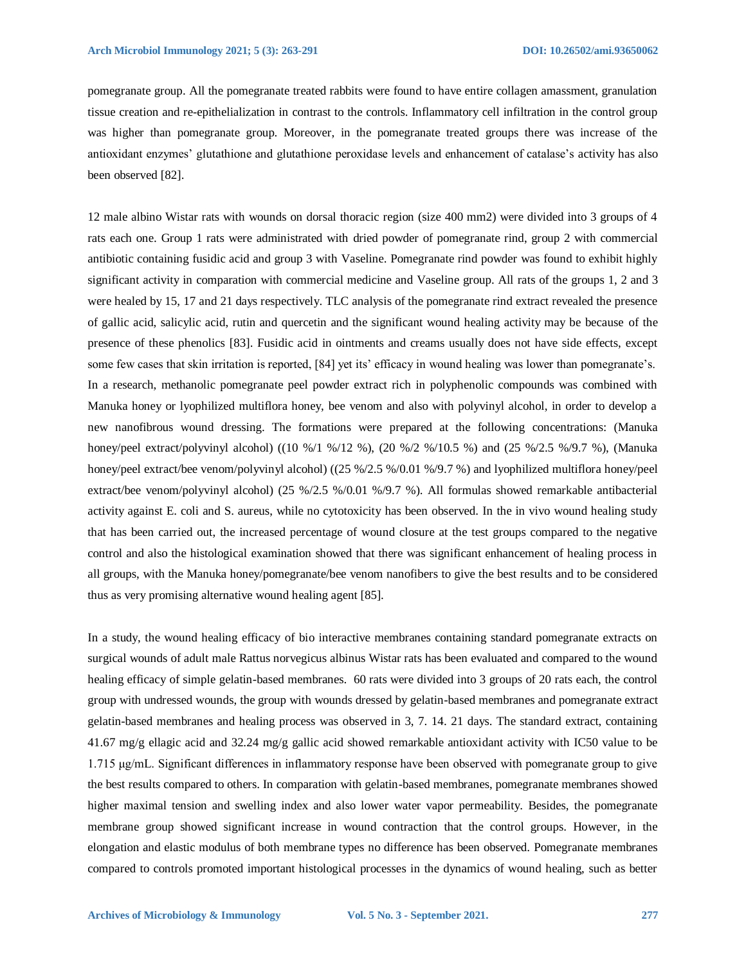pomegranate group. All the pomegranate treated rabbits were found to have entire collagen amassment, granulation tissue creation and re-epithelialization in contrast to the controls. Inflammatory cell infiltration in the control group was higher than pomegranate group. Moreover, in the pomegranate treated groups there was increase of the antioxidant enzymes' glutathione and glutathione peroxidase levels and enhancement of catalase's activity has also been observed [82].

12 male albino Wistar rats with wounds on dorsal thoracic region (size 400 mm2) were divided into 3 groups of 4 rats each one. Group 1 rats were administrated with dried powder of pomegranate rind, group 2 with commercial antibiotic containing fusidic acid and group 3 with Vaseline. Pomegranate rind powder was found to exhibit highly significant activity in comparation with commercial medicine and Vaseline group. All rats of the groups 1, 2 and 3 were healed by 15, 17 and 21 days respectively. TLC analysis of the pomegranate rind extract revealed the presence of gallic acid, salicylic acid, rutin and quercetin and the significant wound healing activity may be because of the presence of these phenolics [83]. Fusidic acid in ointments and creams usually does not have side effects, except some few cases that skin irritation is reported, [84] yet its' efficacy in wound healing was lower than pomegranate's. In a research, methanolic pomegranate peel powder extract rich in polyphenolic compounds was combined with Manuka honey or lyophilized multiflora honey, bee venom and also with polyvinyl alcohol, in order to develop a new nanofibrous wound dressing. The formations were prepared at the following concentrations: (Manuka honey/peel extract/polyvinyl alcohol) ((10 %/1 %/12 %), (20 %/2 %/10.5 %) and (25 %/2.5 %/9.7 %), (Manuka honey/peel extract/bee venom/polyvinyl alcohol) ((25 %/2.5 %/0.01 %/9.7 %) and lyophilized multiflora honey/peel extract/bee venom/polyvinyl alcohol) (25 %/2.5 %/0.01 %/9.7 %). All formulas showed remarkable antibacterial activity against E. coli and S. aureus, while no cytotoxicity has been observed. In the in vivo wound healing study that has been carried out, the increased percentage of wound closure at the test groups compared to the negative control and also the histological examination showed that there was significant enhancement of healing process in all groups, with the Manuka honey/pomegranate/bee venom nanofibers to give the best results and to be considered thus as very promising alternative wound healing agent [85].

In a study, the wound healing efficacy of bio interactive membranes containing standard pomegranate extracts on surgical wounds of adult male Rattus norvegicus albinus Wistar rats has been evaluated and compared to the wound healing efficacy of simple gelatin-based membranes. 60 rats were divided into 3 groups of 20 rats each, the control group with undressed wounds, the group with wounds dressed by gelatin-based membranes and pomegranate extract gelatin-based membranes and healing process was observed in 3, 7. 14. 21 days. The standard extract, containing 41.67 mg/g ellagic acid and 32.24 mg/g gallic acid showed remarkable antioxidant activity with IC50 value to be 1.715 μg/mL. Significant differences in inflammatory response have been observed with pomegranate group to give the best results compared to others. In comparation with gelatin-based membranes, pomegranate membranes showed higher maximal tension and swelling index and also lower water vapor permeability. Besides, the pomegranate membrane group showed significant increase in wound contraction that the control groups. However, in the elongation and elastic modulus of both membrane types no difference has been observed. Pomegranate membranes compared to controls promoted important histological processes in the dynamics of wound healing, such as better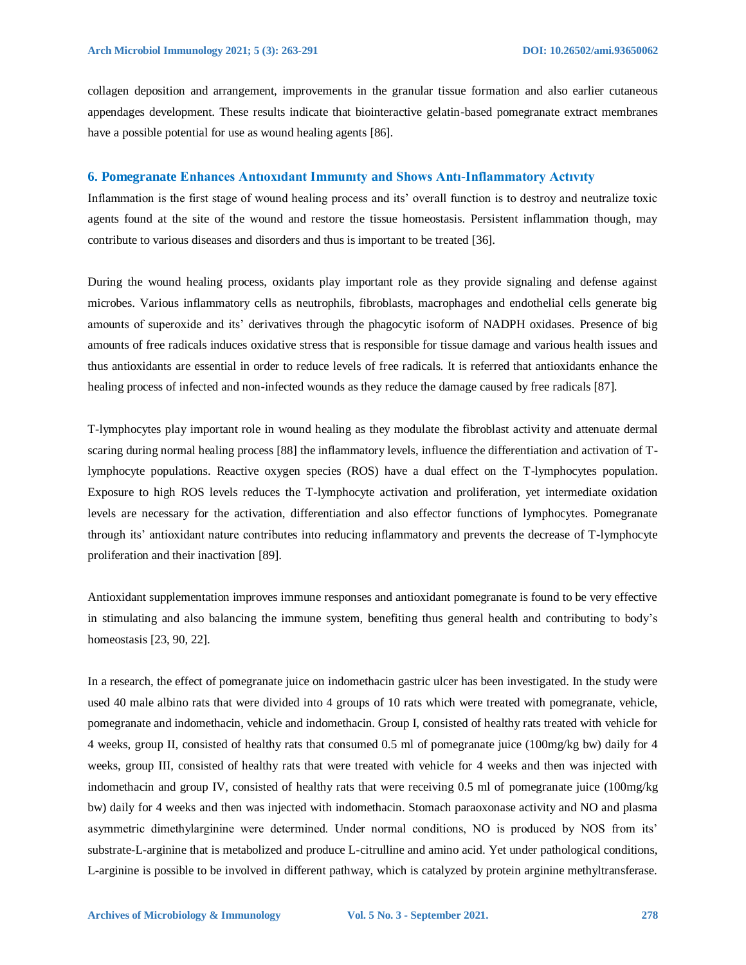collagen deposition and arrangement, improvements in the granular tissue formation and also earlier cutaneous appendages development. These results indicate that biointeractive gelatin-based pomegranate extract membranes have a possible potential for use as wound healing agents [86].

#### **6. Pomegranate Enhances Antıoxıdant Immunıty and Shows Antı-Inflammatory Actıvıty**

Inflammation is the first stage of wound healing process and its' overall function is to destroy and neutralize toxic agents found at the site of the wound and restore the tissue homeostasis. Persistent inflammation though, may contribute to various diseases and disorders and thus is important to be treated [36].

During the wound healing process, oxidants play important role as they provide signaling and defense against microbes. Various inflammatory cells as neutrophils, fibroblasts, macrophages and endothelial cells generate big amounts of superoxide and its' derivatives through the phagocytic isoform of NADPH oxidases. Presence of big amounts of free radicals induces oxidative stress that is responsible for tissue damage and various health issues and thus antioxidants are essential in order to reduce levels of free radicals. It is referred that antioxidants enhance the healing process of infected and non-infected wounds as they reduce the damage caused by free radicals [87].

T-lymphocytes play important role in wound healing as they modulate the fibroblast activity and attenuate dermal scaring during normal healing process [88] the inflammatory levels, influence the differentiation and activation of Tlymphocyte populations. Reactive oxygen species (ROS) have a dual effect on the T-lymphocytes population. Exposure to high ROS levels reduces the T-lymphocyte activation and proliferation, yet intermediate oxidation levels are necessary for the activation, differentiation and also effector functions of lymphocytes. Pomegranate through its' antioxidant nature contributes into reducing inflammatory and prevents the decrease of T-lymphocyte proliferation and their inactivation [89].

Antioxidant supplementation improves immune responses and antioxidant pomegranate is found to be very effective in stimulating and also balancing the immune system, benefiting thus general health and contributing to body's homeostasis [23, 90, 22].

In a research, the effect of pomegranate juice on indomethacin gastric ulcer has been investigated. In the study were used 40 male albino rats that were divided into 4 groups of 10 rats which were treated with pomegranate, vehicle, pomegranate and indomethacin, vehicle and indomethacin. Group I, consisted of healthy rats treated with vehicle for 4 weeks, group II, consisted of healthy rats that consumed 0.5 ml of pomegranate juice (100mg/kg bw) daily for 4 weeks, group III, consisted of healthy rats that were treated with vehicle for 4 weeks and then was injected with indomethacin and group IV, consisted of healthy rats that were receiving 0.5 ml of pomegranate juice (100mg/kg bw) daily for 4 weeks and then was injected with indomethacin. Stomach paraoxonase activity and NO and plasma asymmetric dimethylarginine were determined. Under normal conditions, NO is produced by NOS from its' substrate-L-arginine that is metabolized and produce L-citrulline and amino acid. Yet under pathological conditions, L-arginine is possible to be involved in different pathway, which is catalyzed by protein arginine methyltransferase.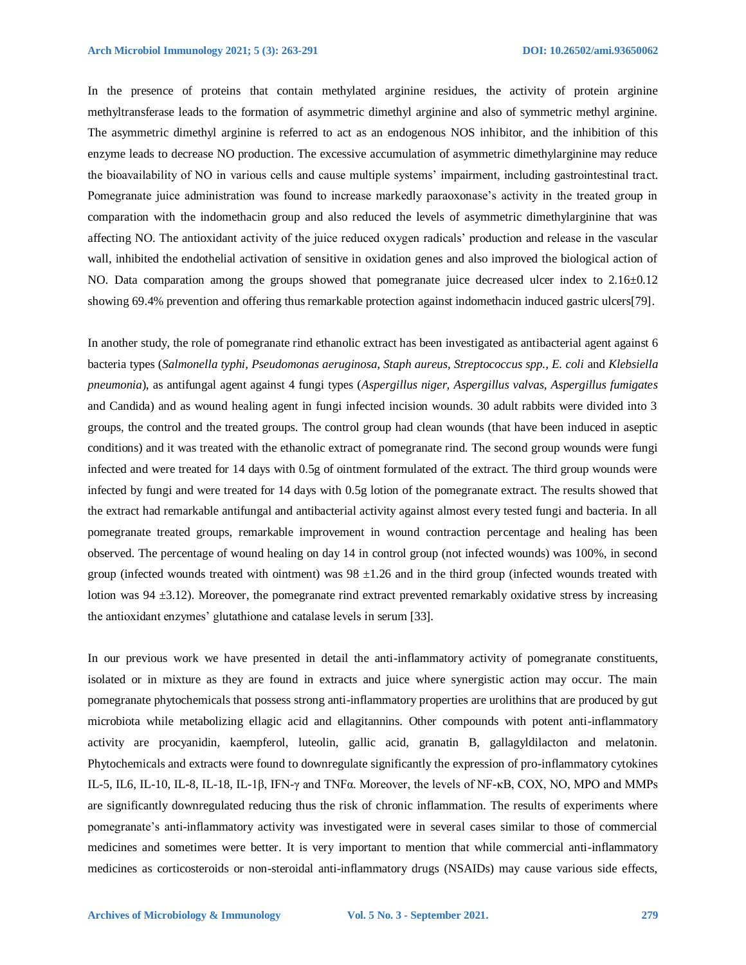In the presence of proteins that contain methylated arginine residues, the activity of protein arginine methyltransferase leads to the formation of asymmetric dimethyl arginine and also of symmetric methyl arginine. The asymmetric dimethyl arginine is referred to act as an endogenous NOS inhibitor, and the inhibition of this enzyme leads to decrease NO production. The excessive accumulation of asymmetric dimethylarginine may reduce the bioavailability of NO in various cells and cause multiple systems' impairment, including gastrointestinal tract. Pomegranate juice administration was found to increase markedly paraoxonase's activity in the treated group in comparation with the indomethacin group and also reduced the levels of asymmetric dimethylarginine that was affecting NO. The antioxidant activity of the juice reduced oxygen radicals' production and release in the vascular wall, inhibited the endothelial activation of sensitive in oxidation genes and also improved the biological action of NO. Data comparation among the groups showed that pomegranate juice decreased ulcer index to 2.16±0.12 showing 69.4% prevention and offering thus remarkable protection against indomethacin induced gastric ulcers[79].

In another study, the role of pomegranate rind ethanolic extract has been investigated as antibacterial agent against 6 bacteria types (*Salmonella typhi, Pseudomonas aeruginosa, Staph aureus, Streptococcus spp., E. coli* and *Klebsiella pneumonia*), as antifungal agent against 4 fungi types (*Aspergillus niger, Aspergillus valvas, Aspergillus fumigates* and Candida) and as wound healing agent in fungi infected incision wounds. 30 adult rabbits were divided into 3 groups, the control and the treated groups. The control group had clean wounds (that have been induced in aseptic conditions) and it was treated with the ethanolic extract of pomegranate rind. The second group wounds were fungi infected and were treated for 14 days with 0.5g of ointment formulated of the extract. The third group wounds were infected by fungi and were treated for 14 days with 0.5g lotion of the pomegranate extract. The results showed that the extract had remarkable antifungal and antibacterial activity against almost every tested fungi and bacteria. In all pomegranate treated groups, remarkable improvement in wound contraction percentage and healing has been observed. The percentage of wound healing on day 14 in control group (not infected wounds) was 100%, in second group (infected wounds treated with ointment) was 98 ±1.26 and in the third group (infected wounds treated with lotion was 94 ±3.12). Moreover, the pomegranate rind extract prevented remarkably oxidative stress by increasing the antioxidant enzymes' glutathione and catalase levels in serum [33].

In our previous work we have presented in detail the anti-inflammatory activity of pomegranate constituents, isolated or in mixture as they are found in extracts and juice where synergistic action may occur. The main pomegranate phytochemicals that possess strong anti-inflammatory properties are urolithins that are produced by gut microbiota while metabolizing ellagic acid and ellagitannins. Other compounds with potent anti-inflammatory activity are procyanidin, kaempferol, luteolin, gallic acid, granatin B, gallagyldilacton and melatonin. Phytochemicals and extracts were found to downregulate significantly the expression of pro-inflammatory cytokines IL-5, IL6, IL-10, IL-8, IL-18, IL-1β, IFN-γ and TNFα. Moreover, the levels of NF-κB, COX, NO, MPO and MMPs are significantly downregulated reducing thus the risk of chronic inflammation. The results of experiments where pomegranate's anti-inflammatory activity was investigated were in several cases similar to those of commercial medicines and sometimes were better. It is very important to mention that while commercial anti-inflammatory medicines as corticosteroids or non-steroidal anti-inflammatory drugs (NSAIDs) may cause various side effects,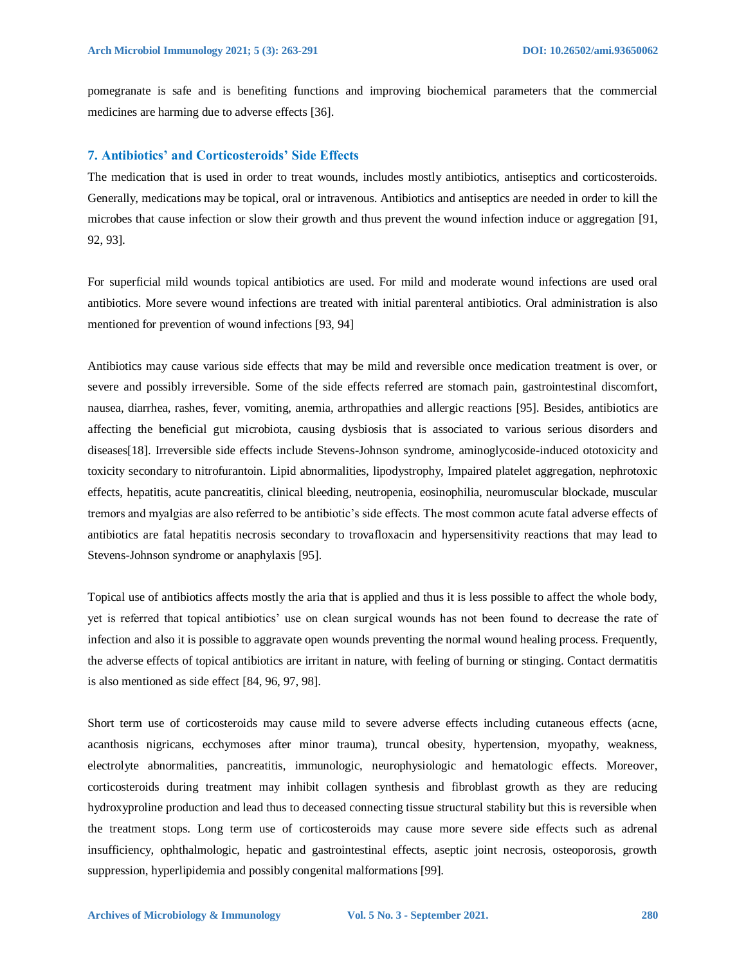pomegranate is safe and is benefiting functions and improving biochemical parameters that the commercial medicines are harming due to adverse effects [36].

## **7. Antibiotics' and Corticosteroids' Side Effects**

The medication that is used in order to treat wounds, includes mostly antibiotics, antiseptics and corticosteroids. Generally, medications may be topical, oral or intravenous. Antibiotics and antiseptics are needed in order to kill the microbes that cause infection or slow their growth and thus prevent the wound infection induce or aggregation [91, 92, 93].

For superficial mild wounds topical antibiotics are used. For mild and moderate wound infections are used oral antibiotics. More severe wound infections are treated with initial parenteral antibiotics. Oral administration is also mentioned for prevention of wound infections [93, 94]

Antibiotics may cause various side effects that may be mild and reversible once medication treatment is over, or severe and possibly irreversible. Some of the side effects referred are stomach pain, gastrointestinal discomfort, nausea, diarrhea, rashes, fever, vomiting, anemia, arthropathies and allergic reactions [95]. Besides, antibiotics are affecting the beneficial gut microbiota, causing dysbiosis that is associated to various serious disorders and diseases[18]. Irreversible side effects include Stevens-Johnson syndrome, aminoglycoside-induced ototoxicity and toxicity secondary to nitrofurantoin. Lipid abnormalities, lipodystrophy, Impaired platelet aggregation, nephrotoxic effects, hepatitis, acute pancreatitis, clinical bleeding, neutropenia, eosinophilia, neuromuscular blockade, muscular tremors and myalgias are also referred to be antibiotic's side effects. The most common acute fatal adverse effects of antibiotics are fatal hepatitis necrosis secondary to trovafloxacin and hypersensitivity reactions that may lead to Stevens-Johnson syndrome or anaphylaxis [95].

Topical use of antibiotics affects mostly the aria that is applied and thus it is less possible to affect the whole body, yet is referred that topical antibiotics' use on clean surgical wounds has not been found to decrease the rate of infection and also it is possible to aggravate open wounds preventing the normal wound healing process. Frequently, the adverse effects of topical antibiotics are irritant in nature, with feeling of burning or stinging. Contact dermatitis is also mentioned as side effect [84, 96, 97, 98].

Short term use of corticosteroids may cause mild to severe adverse effects including cutaneous effects (acne, acanthosis nigricans, ecchymoses after minor trauma), truncal obesity, hypertension, myopathy, weakness, electrolyte abnormalities, pancreatitis, immunologic, neurophysiologic and hematologic effects. Moreover, corticosteroids during treatment may inhibit collagen synthesis and fibroblast growth as they are reducing hydroxyproline production and lead thus to deceased connecting tissue structural stability but this is reversible when the treatment stops. Long term use of corticosteroids may cause more severe side effects such as adrenal insufficiency, ophthalmologic, hepatic and gastrointestinal effects, aseptic joint necrosis, osteoporosis, growth suppression, hyperlipidemia and possibly congenital malformations [99].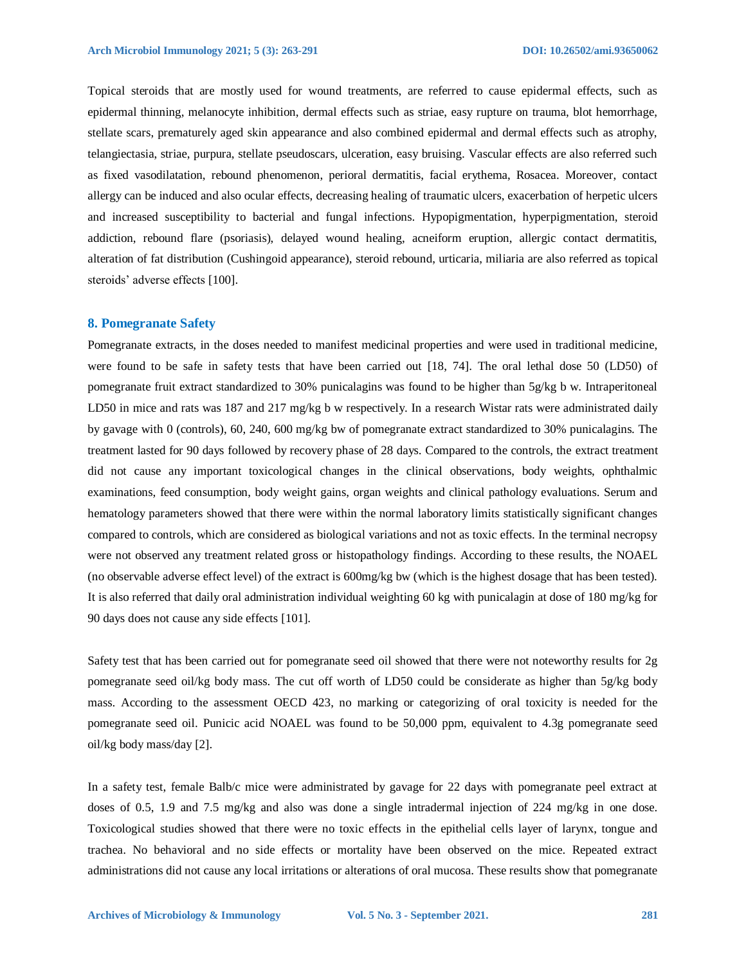Topical steroids that are mostly used for wound treatments, are referred to cause epidermal effects, such as epidermal thinning, melanocyte inhibition, dermal effects such as striae, easy rupture on trauma, blot hemorrhage, stellate scars, prematurely aged skin appearance and also combined epidermal and dermal effects such as atrophy, telangiectasia, striae, purpura, stellate pseudoscars, ulceration, easy bruising. Vascular effects are also referred such as fixed vasodilatation, rebound phenomenon, perioral dermatitis, facial erythema, Rosacea. Moreover, contact allergy can be induced and also ocular effects, decreasing healing of traumatic ulcers, exacerbation of herpetic ulcers and increased susceptibility to bacterial and fungal infections. Hypopigmentation, hyperpigmentation, steroid addiction, rebound flare (psoriasis), delayed wound healing, acneiform eruption, allergic contact dermatitis, alteration of fat distribution (Cushingoid appearance), steroid rebound, urticaria, miliaria are also referred as topical steroids' adverse effects [100].

#### **8. Pomegranate Safety**

Pomegranate extracts, in the doses needed to manifest medicinal properties and were used in traditional medicine, were found to be safe in safety tests that have been carried out [18, 74]. The oral lethal dose 50 (LD50) of pomegranate fruit extract standardized to 30% punicalagins was found to be higher than 5g/kg b w. Intraperitoneal LD50 in mice and rats was 187 and 217 mg/kg b w respectively. In a research Wistar rats were administrated daily by gavage with 0 (controls), 60, 240, 600 mg/kg bw of pomegranate extract standardized to 30% punicalagins. The treatment lasted for 90 days followed by recovery phase of 28 days. Compared to the controls, the extract treatment did not cause any important toxicological changes in the clinical observations, body weights, ophthalmic examinations, feed consumption, body weight gains, organ weights and clinical pathology evaluations. Serum and hematology parameters showed that there were within the normal laboratory limits statistically significant changes compared to controls, which are considered as biological variations and not as toxic effects. In the terminal necropsy were not observed any treatment related gross or histopathology findings. According to these results, the NOAEL (no observable adverse effect level) of the extract is 600mg/kg bw (which is the highest dosage that has been tested). It is also referred that daily oral administration individual weighting 60 kg with punicalagin at dose of 180 mg/kg for 90 days does not cause any side effects [101].

Safety test that has been carried out for pomegranate seed oil showed that there were not noteworthy results for 2g pomegranate seed oil/kg body mass. The cut off worth of LD50 could be considerate as higher than 5g/kg body mass. According to the assessment OECD 423, no marking or categorizing of oral toxicity is needed for the pomegranate seed oil. Punicic acid NOAEL was found to be 50,000 ppm, equivalent to 4.3g pomegranate seed oil/kg body mass/day [2].

In a safety test, female Balb/c mice were administrated by gavage for 22 days with pomegranate peel extract at doses of 0.5, 1.9 and 7.5 mg/kg and also was done a single intradermal injection of 224 mg/kg in one dose. Toxicological studies showed that there were no toxic effects in the epithelial cells layer of larynx, tongue and trachea. No behavioral and no side effects or mortality have been observed on the mice. Repeated extract administrations did not cause any local irritations or alterations of oral mucosa. These results show that pomegranate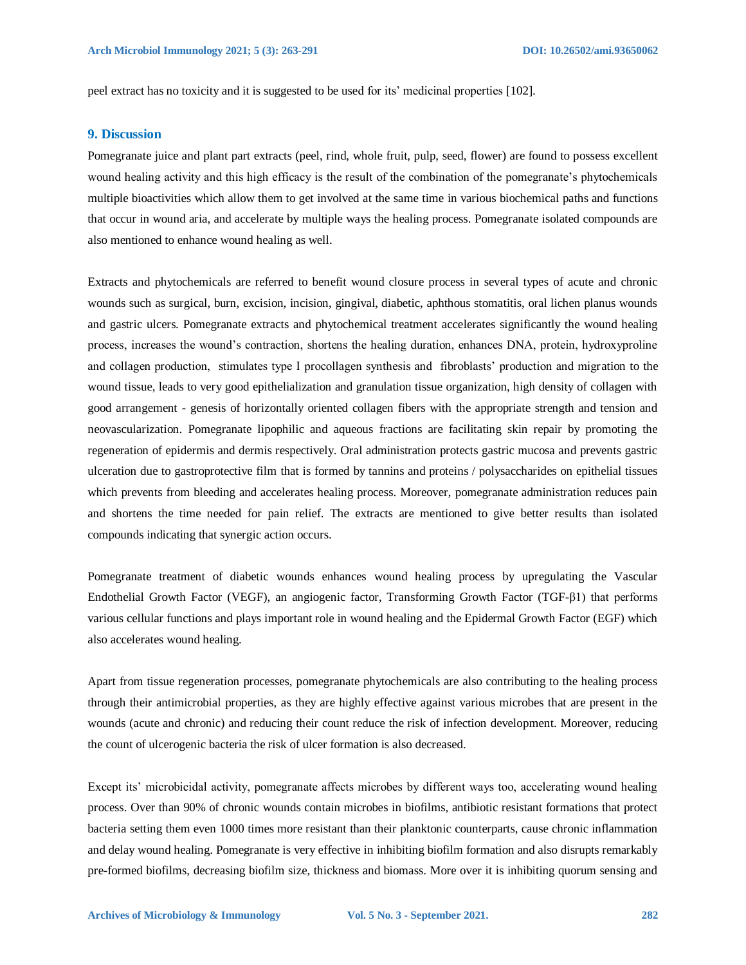peel extract has no toxicity and it is suggested to be used for its' medicinal properties [102].

## **9. Discussion**

Pomegranate juice and plant part extracts (peel, rind, whole fruit, pulp, seed, flower) are found to possess excellent wound healing activity and this high efficacy is the result of the combination of the pomegranate's phytochemicals multiple bioactivities which allow them to get involved at the same time in various biochemical paths and functions that occur in wound aria, and accelerate by multiple ways the healing process. Pomegranate isolated compounds are also mentioned to enhance wound healing as well.

Extracts and phytochemicals are referred to benefit wound closure process in several types of acute and chronic wounds such as surgical, burn, excision, incision, gingival, diabetic, aphthous stomatitis, oral lichen planus wounds and gastric ulcers. Pomegranate extracts and phytochemical treatment accelerates significantly the wound healing process, increases the wound's contraction, shortens the healing duration, enhances DNA, protein, hydroxyproline and collagen production, stimulates type I procollagen synthesis and fibroblasts' production and migration to the wound tissue, leads to very good epithelialization and granulation tissue organization, high density of collagen with good arrangement - genesis of horizontally oriented collagen fibers with the appropriate strength and tension and neovascularization. Pomegranate lipophilic and aqueous fractions are facilitating skin repair by promoting the regeneration of epidermis and dermis respectively. Oral administration protects gastric mucosa and prevents gastric ulceration due to gastroprotective film that is formed by tannins and proteins / polysaccharides on epithelial tissues which prevents from bleeding and accelerates healing process. Moreover, pomegranate administration reduces pain and shortens the time needed for pain relief. The extracts are mentioned to give better results than isolated compounds indicating that synergic action occurs.

Pomegranate treatment of diabetic wounds enhances wound healing process by upregulating the Vascular Endothelial Growth Factor (VEGF), an angiogenic factor, Transforming Growth Factor (TGF-β1) that performs various cellular functions and plays important role in wound healing and the Epidermal Growth Factor (EGF) which also accelerates wound healing.

Apart from tissue regeneration processes, pomegranate phytochemicals are also contributing to the healing process through their antimicrobial properties, as they are highly effective against various microbes that are present in the wounds (acute and chronic) and reducing their count reduce the risk of infection development. Moreover, reducing the count of ulcerogenic bacteria the risk of ulcer formation is also decreased.

Except its' microbicidal activity, pomegranate affects microbes by different ways too, accelerating wound healing process. Over than 90% of chronic wounds contain microbes in biofilms, antibiotic resistant formations that protect bacteria setting them even 1000 times more resistant than their planktonic counterparts, cause chronic inflammation and delay wound healing. Pomegranate is very effective in inhibiting biofilm formation and also disrupts remarkably pre-formed biofilms, decreasing biofilm size, thickness and biomass. More over it is inhibiting quorum sensing and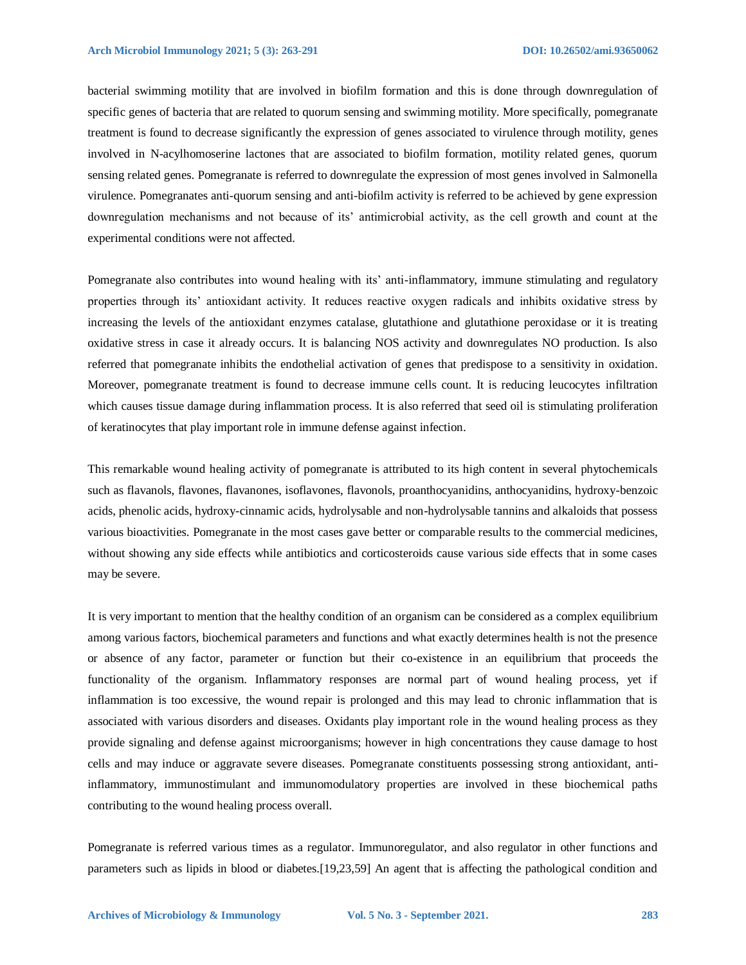bacterial swimming motility that are involved in biofilm formation and this is done through downregulation of specific genes of bacteria that are related to quorum sensing and swimming motility. More specifically, pomegranate treatment is found to decrease significantly the expression of genes associated to virulence through motility, genes involved in N-acylhomoserine lactones that are associated to biofilm formation, motility related genes, quorum sensing related genes. Pomegranate is referred to downregulate the expression of most genes involved in Salmonella virulence. Pomegranates anti-quorum sensing and anti-biofilm activity is referred to be achieved by gene expression downregulation mechanisms and not because of its' antimicrobial activity, as the cell growth and count at the experimental conditions were not affected.

Pomegranate also contributes into wound healing with its' anti-inflammatory, immune stimulating and regulatory properties through its' antioxidant activity. It reduces reactive oxygen radicals and inhibits oxidative stress by increasing the levels of the antioxidant enzymes catalase, glutathione and glutathione peroxidase or it is treating oxidative stress in case it already occurs. It is balancing NOS activity and downregulates NO production. Is also referred that pomegranate inhibits the endothelial activation of genes that predispose to a sensitivity in oxidation. Moreover, pomegranate treatment is found to decrease immune cells count. It is reducing leucocytes infiltration which causes tissue damage during inflammation process. It is also referred that seed oil is stimulating proliferation of keratinocytes that play important role in immune defense against infection.

This remarkable wound healing activity of pomegranate is attributed to its high content in several phytochemicals such as flavanols, flavones, flavanones, isoflavones, flavonols, proanthocyanidins, anthocyanidins, hydroxy-benzoic acids, phenolic acids, hydroxy-cinnamic acids, hydrolysable and non-hydrolysable tannins and alkaloids that possess various bioactivities. Pomegranate in the most cases gave better or comparable results to the commercial medicines, without showing any side effects while antibiotics and corticosteroids cause various side effects that in some cases may be severe.

It is very important to mention that the healthy condition of an organism can be considered as a complex equilibrium among various factors, biochemical parameters and functions and what exactly determines health is not the presence or absence of any factor, parameter or function but their co-existence in an equilibrium that proceeds the functionality of the organism. Inflammatory responses are normal part of wound healing process, yet if inflammation is too excessive, the wound repair is prolonged and this may lead to chronic inflammation that is associated with various disorders and diseases. Oxidants play important role in the wound healing process as they provide signaling and defense against microorganisms; however in high concentrations they cause damage to host cells and may induce or aggravate severe diseases. Pomegranate constituents possessing strong antioxidant, antiinflammatory, immunostimulant and immunomodulatory properties are involved in these biochemical paths contributing to the wound healing process overall.

Pomegranate is referred various times as a regulator. Immunoregulator, and also regulator in other functions and parameters such as lipids in blood or diabetes.[19,23,59] An agent that is affecting the pathological condition and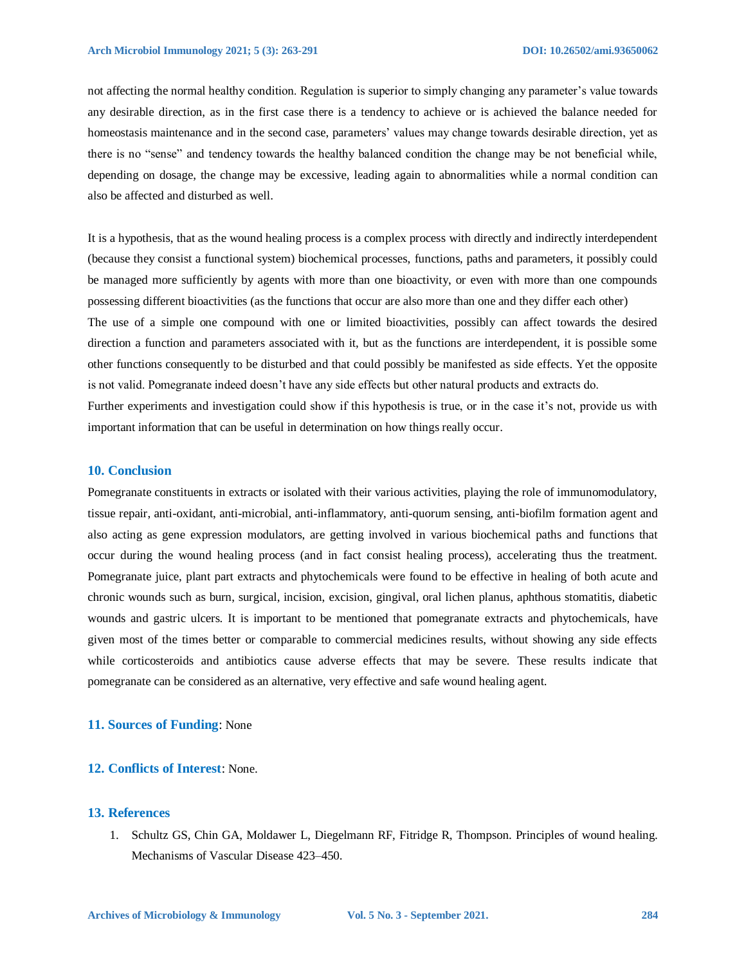not affecting the normal healthy condition. Regulation is superior to simply changing any parameter's value towards any desirable direction, as in the first case there is a tendency to achieve or is achieved the balance needed for homeostasis maintenance and in the second case, parameters' values may change towards desirable direction, yet as there is no "sense" and tendency towards the healthy balanced condition the change may be not beneficial while, depending on dosage, the change may be excessive, leading again to abnormalities while a normal condition can also be affected and disturbed as well.

It is a hypothesis, that as the wound healing process is a complex process with directly and indirectly interdependent (because they consist a functional system) biochemical processes, functions, paths and parameters, it possibly could be managed more sufficiently by agents with more than one bioactivity, or even with more than one compounds possessing different bioactivities (as the functions that occur are also more than one and they differ each other) The use of a simple one compound with one or limited bioactivities, possibly can affect towards the desired direction a function and parameters associated with it, but as the functions are interdependent, it is possible some other functions consequently to be disturbed and that could possibly be manifested as side effects. Yet the opposite is not valid. Pomegranate indeed doesn't have any side effects but other natural products and extracts do. Further experiments and investigation could show if this hypothesis is true, or in the case it's not, provide us with important information that can be useful in determination on how things really occur.

### **10. Conclusion**

Pomegranate constituents in extracts or isolated with their various activities, playing the role of immunomodulatory, tissue repair, anti-oxidant, anti-microbial, anti-inflammatory, anti-quorum sensing, anti-biofilm formation agent and also acting as gene expression modulators, are getting involved in various biochemical paths and functions that occur during the wound healing process (and in fact consist healing process), accelerating thus the treatment. Pomegranate juice, plant part extracts and phytochemicals were found to be effective in healing of both acute and chronic wounds such as burn, surgical, incision, excision, gingival, oral lichen planus, aphthous stomatitis, diabetic wounds and gastric ulcers. It is important to be mentioned that pomegranate extracts and phytochemicals, have given most of the times better or comparable to commercial medicines results, without showing any side effects while corticosteroids and antibiotics cause adverse effects that may be severe. These results indicate that pomegranate can be considered as an alternative, very effective and safe wound healing agent.

## **11. Sources of Funding**: None

#### **12. Conflicts of Interest**: None.

## **13. References**

1. Schultz GS, Chin GA, Moldawer L, Diegelmann RF, Fitridge R, Thompson. Principles of wound healing. Mechanisms of Vascular Disease 423–450.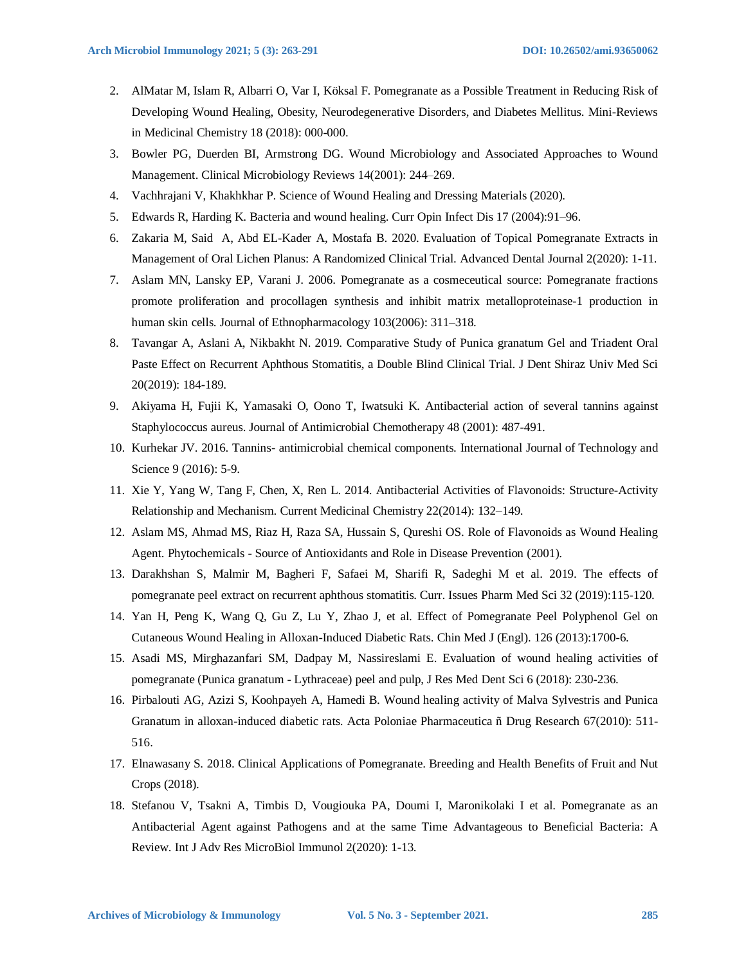- 2. AlMatar M, Islam R, Albarri O, Var I, Köksal F. Pomegranate as a Possible Treatment in Reducing Risk of Developing Wound Healing, Obesity, Neurodegenerative Disorders, and Diabetes Mellitus. Mini-Reviews in Medicinal Chemistry 18 (2018): 000-000.
- 3. Bowler PG, Duerden BI, Armstrong DG. Wound Microbiology and Associated Approaches to Wound Management. Clinical Microbiology Reviews 14(2001): 244–269.
- 4. Vachhrajani V, Khakhkhar P. Science of Wound Healing and Dressing Materials (2020).
- 5. Edwards R, Harding K. Bacteria and wound healing. Curr Opin Infect Dis 17 (2004):91–96.
- 6. Zakaria M, Said A, Abd EL-Kader A, Mostafa B. 2020. Evaluation of Topical Pomegranate Extracts in Management of Oral Lichen Planus: A Randomized Clinical Trial. Advanced Dental Journal 2(2020): 1-11.
- 7. Aslam MN, Lansky EP, Varani J. 2006. Pomegranate as a cosmeceutical source: Pomegranate fractions promote proliferation and procollagen synthesis and inhibit matrix metalloproteinase-1 production in human skin cells. Journal of Ethnopharmacology 103(2006): 311–318.
- 8. Tavangar A, Aslani A, Nikbakht N. 2019. Comparative Study of Punica granatum Gel and Triadent Oral Paste Effect on Recurrent Aphthous Stomatitis, a Double Blind Clinical Trial. J Dent Shiraz Univ Med Sci 20(2019): 184-189.
- 9. Akiyama H, Fujii K, Yamasaki O, Oono T, Iwatsuki K. Antibacterial action of several tannins against Staphylococcus aureus. Journal of Antimicrobial Chemotherapy 48 (2001): 487-491.
- 10. Kurhekar JV. 2016. Tannins- antimicrobial chemical components. International Journal of Technology and Science 9 (2016): 5-9.
- 11. Xie Y, Yang W, Tang F, Chen, X, Ren L. 2014. Antibacterial Activities of Flavonoids: Structure-Activity Relationship and Mechanism. Current Medicinal Chemistry 22(2014): 132–149.
- 12. Aslam MS, Ahmad MS, Riaz H, Raza SA, Hussain S, Qureshi OS. Role of Flavonoids as Wound Healing Agent. Phytochemicals - Source of Antioxidants and Role in Disease Prevention (2001).
- 13. Darakhshan S, Malmir M, Bagheri F, Safaei M, Sharifi R, Sadeghi M et al. 2019. The effects of pomegranate peel extract on recurrent aphthous stomatitis. Curr. Issues Pharm Med Sci 32 (2019):115-120.
- 14. Yan H, Peng K, Wang Q, Gu Z, Lu Y, Zhao J, et al. Effect of Pomegranate Peel Polyphenol Gel on Cutaneous Wound Healing in Alloxan-Induced Diabetic Rats. Chin Med J (Engl). 126 (2013):1700-6.
- 15. Asadi MS, Mirghazanfari SM, Dadpay M, Nassireslami E. Evaluation of wound healing activities of pomegranate (Punica granatum - Lythraceae) peel and pulp, J Res Med Dent Sci 6 (2018): 230-236.
- 16. Pirbalouti AG, Azizi S, Koohpayeh A, Hamedi B. Wound healing activity of Malva Sylvestris and Punica Granatum in alloxan-induced diabetic rats. Acta Poloniae Pharmaceutica ñ Drug Research 67(2010): 511- 516.
- 17. Elnawasany S. 2018. Clinical Applications of Pomegranate. Breeding and Health Benefits of Fruit and Nut Crops (2018).
- 18. Stefanou V, Tsakni A, Timbis D, Vougiouka PA, Doumi I, Maronikolaki I et al. Pomegranate as an Antibacterial Agent against Pathogens and at the same Time Advantageous to Beneficial Bacteria: A Review. Int J Adv Res MicroBiol Immunol 2(2020): 1-13.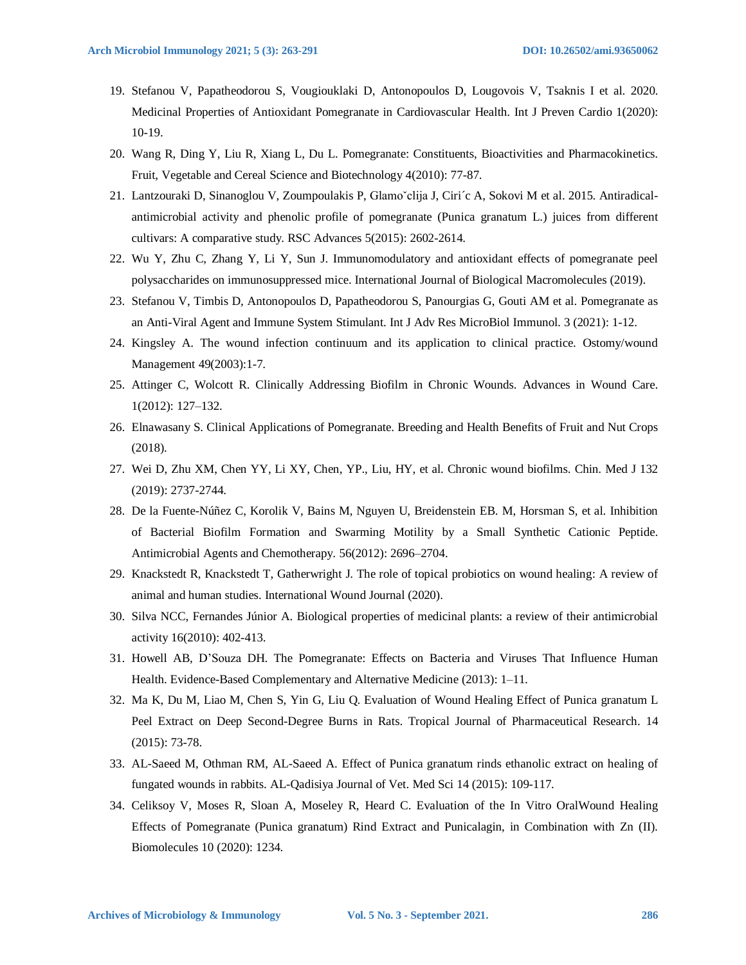- 19. Stefanou V, Papatheodorou S, Vougiouklaki D, Antonopoulos D, Lougovois V, Tsaknis I et al. 2020. Medicinal Properties of Antioxidant Pomegranate in Cardiovascular Health. Int J Preven Cardio 1(2020): 10-19.
- 20. Wang R, Ding Y, Liu R, Xiang L, Du L. Pomegranate: Constituents, Bioactivities and Pharmacokinetics. Fruit, Vegetable and Cereal Science and Biotechnology 4(2010): 77-87.
- 21. Lantzouraki D, Sinanoglou V, Zoumpoulakis P, Glamoˇclija J, Ciri´c A, Sokovi M et al. 2015. Antiradicalantimicrobial activity and phenolic profile of pomegranate (Punica granatum L.) juices from different cultivars: A comparative study. RSC Advances 5(2015): 2602-2614.
- 22. Wu Y, Zhu C, Zhang Y, Li Y, Sun J. Immunomodulatory and antioxidant effects of pomegranate peel polysaccharides on immunosuppressed mice. International Journal of Biological Macromolecules (2019).
- 23. Stefanou V, Timbis D, Antonopoulos D, Papatheodorou S, Panourgias G, Gouti AM et al. Pomegranate as an Anti-Viral Agent and Immune System Stimulant. Int J Adv Res MicroBiol Immunol. 3 (2021): 1-12.
- 24. Kingsley A. The wound infection continuum and its application to clinical practice. Ostomy/wound Management 49(2003):1-7.
- 25. Attinger C, Wolcott R. Clinically Addressing Biofilm in Chronic Wounds. Advances in Wound Care. 1(2012): 127–132.
- 26. Elnawasany S. Clinical Applications of Pomegranate. Breeding and Health Benefits of Fruit and Nut Crops (2018).
- 27. Wei D, Zhu XM, Chen YY, Li XY, Chen, YP., Liu, HY, et al. Chronic wound biofilms. Chin. Med J 132 (2019): 2737-2744.
- 28. De la Fuente-Núñez C, Korolik V, Bains M, Nguyen U, Breidenstein EB. M, Horsman S, et al. Inhibition of Bacterial Biofilm Formation and Swarming Motility by a Small Synthetic Cationic Peptide. Antimicrobial Agents and Chemotherapy. 56(2012): 2696–2704.
- 29. Knackstedt R, Knackstedt T, Gatherwright J. The role of topical probiotics on wound healing: A review of animal and human studies. International Wound Journal (2020).
- 30. Silva NCC, Fernandes Júnior A. Biological properties of medicinal plants: a review of their antimicrobial activity 16(2010): 402-413.
- 31. Howell AB, D'Souza DH. The Pomegranate: Effects on Bacteria and Viruses That Influence Human Health. Evidence-Based Complementary and Alternative Medicine (2013): 1–11.
- 32. Ma K, Du M, Liao M, Chen S, Yin G, Liu Q. Evaluation of Wound Healing Effect of Punica granatum L Peel Extract on Deep Second-Degree Burns in Rats. Tropical Journal of Pharmaceutical Research. 14 (2015): 73-78.
- 33. AL-Saeed M, Othman RM, AL-Saeed A. Effect of Punica granatum rinds ethanolic extract on healing of fungated wounds in rabbits. AL-Qadisiya Journal of Vet. Med Sci 14 (2015): 109-117.
- 34. Celiksoy V, Moses R, Sloan A, Moseley R, Heard C. Evaluation of the In Vitro OralWound Healing Effects of Pomegranate (Punica granatum) Rind Extract and Punicalagin, in Combination with Zn (II). Biomolecules 10 (2020): 1234.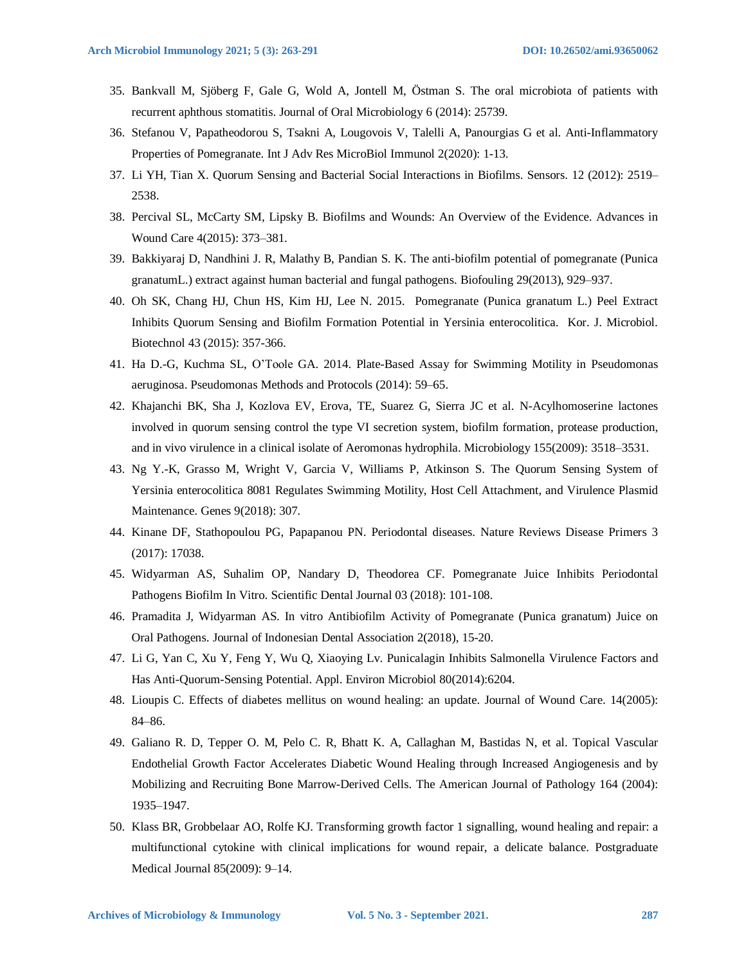- 35. Bankvall M, Sjöberg F, Gale G, Wold A, Jontell M, Östman S. The oral microbiota of patients with recurrent aphthous stomatitis. Journal of Oral Microbiology 6 (2014): 25739.
- 36. Stefanou V, Papatheodorou S, Tsakni A, Lougovois V, Talelli A, Panourgias G et al. Anti-Inflammatory Properties of Pomegranate. Int J Adv Res MicroBiol Immunol 2(2020): 1-13.
- 37. Li YH, Tian X. Quorum Sensing and Bacterial Social Interactions in Biofilms. Sensors. 12 (2012): 2519– 2538.
- 38. Percival SL, McCarty SM, Lipsky B. Biofilms and Wounds: An Overview of the Evidence. Advances in Wound Care 4(2015): 373–381.
- 39. Bakkiyaraj D, Nandhini J. R, Malathy B, Pandian S. K. The anti-biofilm potential of pomegranate (Punica granatumL.) extract against human bacterial and fungal pathogens. Biofouling 29(2013), 929–937.
- 40. Oh SK, Chang HJ, Chun HS, Kim HJ, Lee N. 2015. Pomegranate (Punica granatum L.) Peel Extract Inhibits Quorum Sensing and Biofilm Formation Potential in Yersinia enterocolitica. Kor. J. Microbiol. Biotechnol 43 (2015): 357-366.
- 41. Ha D.-G, Kuchma SL, O'Toole GA. 2014. Plate-Based Assay for Swimming Motility in Pseudomonas aeruginosa. Pseudomonas Methods and Protocols (2014): 59–65.
- 42. Khajanchi BK, Sha J, Kozlova EV, Erova, TE, Suarez G, Sierra JC et al. N-Acylhomoserine lactones involved in quorum sensing control the type VI secretion system, biofilm formation, protease production, and in vivo virulence in a clinical isolate of Aeromonas hydrophila. Microbiology 155(2009): 3518–3531.
- 43. Ng Y.-K, Grasso M, Wright V, Garcia V, Williams P, Atkinson S. The Quorum Sensing System of Yersinia enterocolitica 8081 Regulates Swimming Motility, Host Cell Attachment, and Virulence Plasmid Maintenance. Genes 9(2018): 307.
- 44. Kinane DF, Stathopoulou PG, Papapanou PN. Periodontal diseases. Nature Reviews Disease Primers 3 (2017): 17038.
- 45. Widyarman AS, Suhalim OP, Nandary D, Theodorea CF. Pomegranate Juice Inhibits Periodontal Pathogens Biofilm In Vitro. Scientific Dental Journal 03 (2018): 101-108.
- 46. Pramadita J, Widyarman AS. In vitro Antibiofilm Activity of Pomegranate (Punica granatum) Juice on Oral Pathogens. Journal of Indonesian Dental Association 2(2018), 15-20.
- 47. Li G, Yan C, Xu Y, Feng Y, Wu Q, Xiaoying Lv. Punicalagin Inhibits Salmonella Virulence Factors and Has Anti-Quorum-Sensing Potential. Appl. Environ Microbiol 80(2014):6204.
- 48. Lioupis C. Effects of diabetes mellitus on wound healing: an update. Journal of Wound Care. 14(2005): 84–86.
- 49. Galiano R. D, Tepper O. M, Pelo C. R, Bhatt K. A, Callaghan M, Bastidas N, et al. Topical Vascular Endothelial Growth Factor Accelerates Diabetic Wound Healing through Increased Angiogenesis and by Mobilizing and Recruiting Bone Marrow-Derived Cells. The American Journal of Pathology 164 (2004): 1935–1947.
- 50. Klass BR, Grobbelaar AO, Rolfe KJ. Transforming growth factor 1 signalling, wound healing and repair: a multifunctional cytokine with clinical implications for wound repair, a delicate balance. Postgraduate Medical Journal 85(2009): 9–14.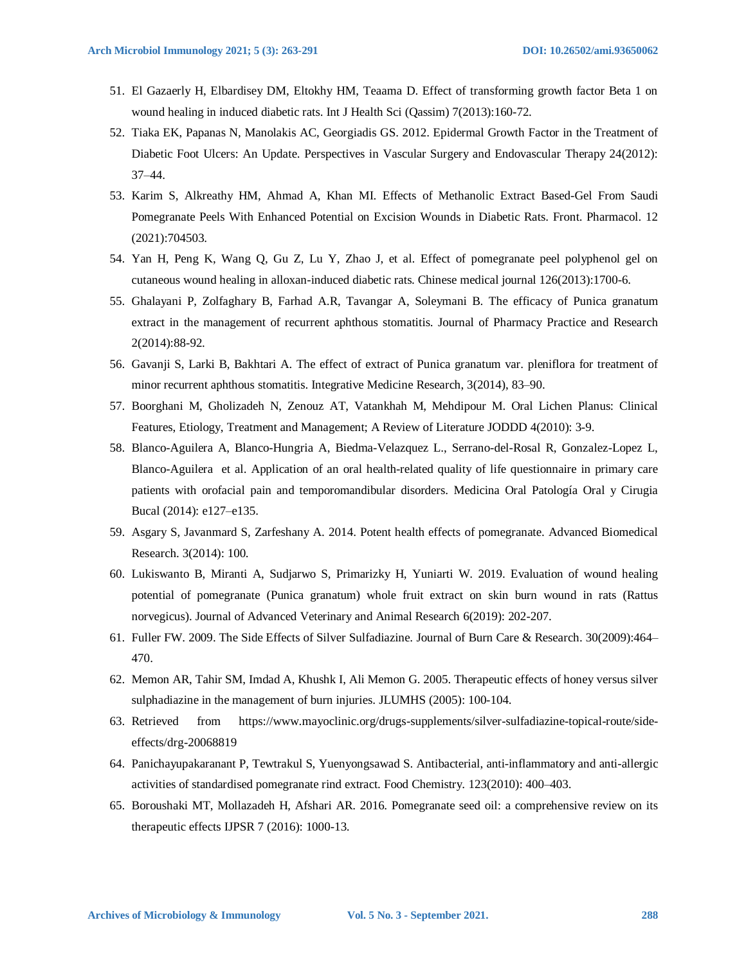- 51. El Gazaerly H, Elbardisey DM, Eltokhy HM, Teaama D. Effect of transforming growth factor Beta 1 on wound healing in induced diabetic rats. Int J Health Sci (Qassim) 7(2013):160-72.
- 52. Tiaka EK, Papanas N, Manolakis AC, Georgiadis GS. 2012. Epidermal Growth Factor in the Treatment of Diabetic Foot Ulcers: An Update. Perspectives in Vascular Surgery and Endovascular Therapy 24(2012): 37–44.
- 53. Karim S, Alkreathy HM, Ahmad A, Khan MI. Effects of Methanolic Extract Based-Gel From Saudi Pomegranate Peels With Enhanced Potential on Excision Wounds in Diabetic Rats. Front. Pharmacol. 12 (2021):704503.
- 54. Yan H, Peng K, Wang Q, Gu Z, Lu Y, Zhao J, et al. Effect of pomegranate peel polyphenol gel on cutaneous wound healing in alloxan-induced diabetic rats. Chinese medical journal 126(2013):1700-6.
- 55. Ghalayani P, Zolfaghary B, Farhad A.R, Tavangar A, Soleymani B. The efficacy of Punica granatum extract in the management of recurrent aphthous stomatitis. Journal of Pharmacy Practice and Research 2(2014):88-92.
- 56. Gavanji S, Larki B, Bakhtari A. The effect of extract of Punica granatum var. pleniflora for treatment of minor recurrent aphthous stomatitis. Integrative Medicine Research, 3(2014), 83–90.
- 57. Boorghani M, Gholizadeh N, Zenouz AT, Vatankhah M, Mehdipour M. Oral Lichen Planus: Clinical Features, Etiology, Treatment and Management; A Review of Literature JODDD 4(2010): 3-9.
- 58. Blanco-Aguilera A, Blanco-Hungria A, Biedma-Velazquez L., Serrano-del-Rosal R, Gonzalez-Lopez L, Blanco-Aguilera et al. Application of an oral health-related quality of life questionnaire in primary care patients with orofacial pain and temporomandibular disorders. Medicina Oral Patología Oral y Cirugia Bucal (2014): e127–e135.
- 59. Asgary S, Javanmard S, Zarfeshany A. 2014. Potent health effects of pomegranate. Advanced Biomedical Research. 3(2014): 100.
- 60. Lukiswanto B, Miranti A, Sudjarwo S, Primarizky H, Yuniarti W. 2019. Evaluation of wound healing potential of pomegranate (Punica granatum) whole fruit extract on skin burn wound in rats (Rattus norvegicus). Journal of Advanced Veterinary and Animal Research 6(2019): 202-207.
- 61. Fuller FW. 2009. The Side Effects of Silver Sulfadiazine. Journal of Burn Care & Research. 30(2009):464– 470.
- 62. Memon AR, Tahir SM, Imdad A, Khushk I, Ali Memon G. 2005. Therapeutic effects of honey versus silver sulphadiazine in the management of burn injuries. JLUMHS (2005): 100-104.
- 63. Retrieved from https://www.mayoclinic.org/drugs-supplements/silver-sulfadiazine-topical-route/sideeffects/drg-20068819
- 64. Panichayupakaranant P, Tewtrakul S, Yuenyongsawad S. Antibacterial, anti-inflammatory and anti-allergic activities of standardised pomegranate rind extract. Food Chemistry. 123(2010): 400–403.
- 65. Boroushaki MT, Mollazadeh H, Afshari AR. 2016. Pomegranate seed oil: a comprehensive review on its therapeutic effects IJPSR 7 (2016): 1000-13.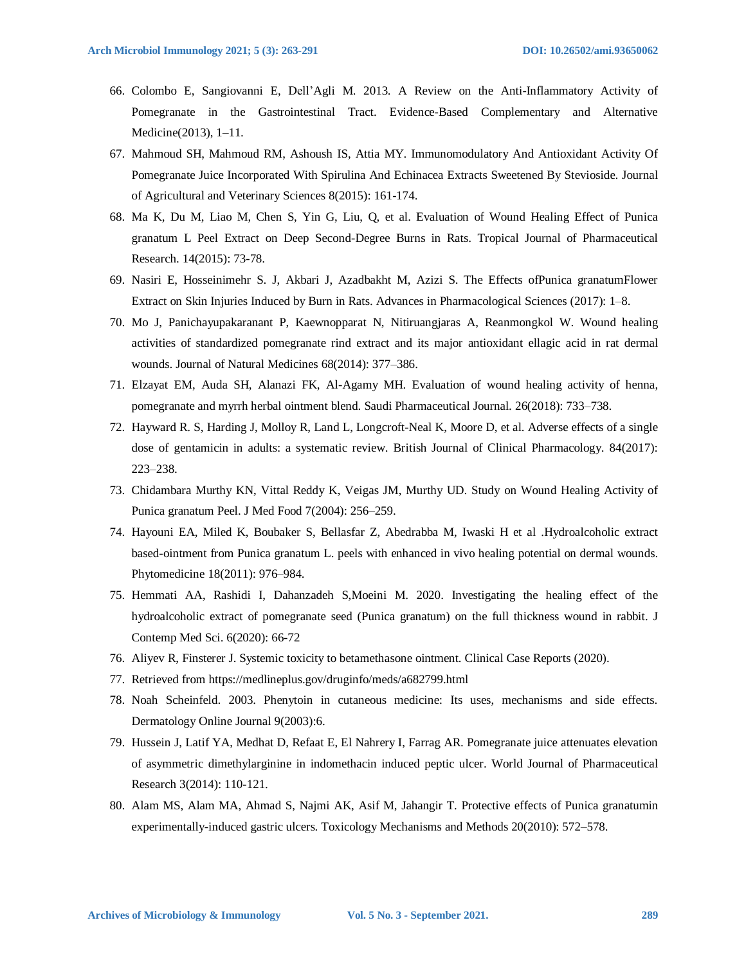- 66. Colombo E, Sangiovanni E, Dell'Agli M. 2013. A Review on the Anti-Inflammatory Activity of Pomegranate in the Gastrointestinal Tract. Evidence-Based Complementary and Alternative Medicine(2013), 1–11.
- 67. Mahmoud SH, Mahmoud RM, Ashoush IS, Attia MY. Immunomodulatory And Antioxidant Activity Of Pomegranate Juice Incorporated With Spirulina And Echinacea Extracts Sweetened By Stevioside. Journal of Agricultural and Veterinary Sciences 8(2015): 161-174.
- 68. Ma K, Du M, Liao M, Chen S, Yin G, Liu, Q, et al. Evaluation of Wound Healing Effect of Punica granatum L Peel Extract on Deep Second-Degree Burns in Rats. Tropical Journal of Pharmaceutical Research. 14(2015): 73-78.
- 69. Nasiri E, Hosseinimehr S. J, Akbari J, Azadbakht M, Azizi S. The Effects ofPunica granatumFlower Extract on Skin Injuries Induced by Burn in Rats. Advances in Pharmacological Sciences (2017): 1–8.
- 70. Mo J, Panichayupakaranant P, Kaewnopparat N, Nitiruangjaras A, Reanmongkol W. Wound healing activities of standardized pomegranate rind extract and its major antioxidant ellagic acid in rat dermal wounds. Journal of Natural Medicines 68(2014): 377–386.
- 71. Elzayat EM, Auda SH, Alanazi FK, Al-Agamy MH. Evaluation of wound healing activity of henna, pomegranate and myrrh herbal ointment blend. Saudi Pharmaceutical Journal. 26(2018): 733–738.
- 72. Hayward R. S, Harding J, Molloy R, Land L, Longcroft-Neal K, Moore D, et al. Adverse effects of a single dose of gentamicin in adults: a systematic review. British Journal of Clinical Pharmacology. 84(2017): 223–238.
- 73. Chidambara Murthy KN, Vittal Reddy K, Veigas JM, Murthy UD. Study on Wound Healing Activity of Punica granatum Peel. J Med Food 7(2004): 256–259.
- 74. Hayouni EA, Miled K, Boubaker S, Bellasfar Z, Abedrabba M, Iwaski H et al .Hydroalcoholic extract based-ointment from Punica granatum L. peels with enhanced in vivo healing potential on dermal wounds. Phytomedicine 18(2011): 976–984.
- 75. Hemmati AA, Rashidi I, Dahanzadeh S,Moeini M. 2020. Investigating the healing effect of the hydroalcoholic extract of pomegranate seed (Punica granatum) on the full thickness wound in rabbit. J Contemp Med Sci. 6(2020): 66-72
- 76. Aliyev R, Finsterer J. Systemic toxicity to betamethasone ointment. Clinical Case Reports (2020).
- 77. Retrieved from https://medlineplus.gov/druginfo/meds/a682799.html
- 78. Noah Scheinfeld. 2003. Phenytoin in cutaneous medicine: Its uses, mechanisms and side effects. Dermatology Online Journal 9(2003):6.
- 79. Hussein J, Latif YA, Medhat D, Refaat E, El Nahrery I, Farrag AR. Pomegranate juice attenuates elevation of asymmetric dimethylarginine in indomethacin induced peptic ulcer. World Journal of Pharmaceutical Research 3(2014): 110-121.
- 80. Alam MS, Alam MA, Ahmad S, Najmi AK, Asif M, Jahangir T. Protective effects of Punica granatumin experimentally-induced gastric ulcers. Toxicology Mechanisms and Methods 20(2010): 572–578.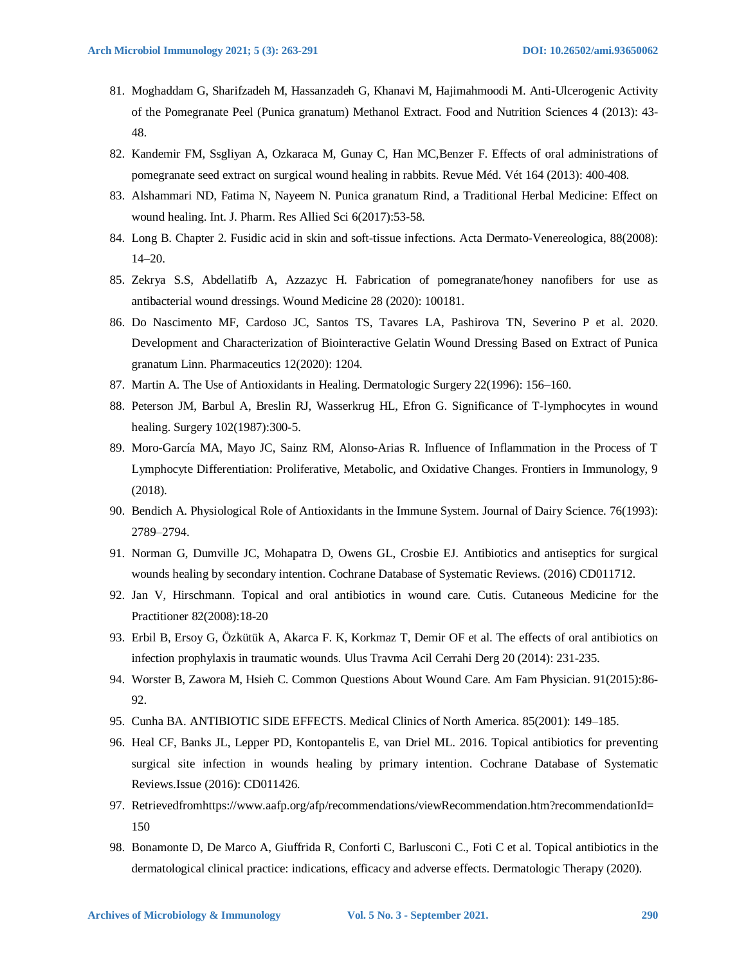- 81. Moghaddam G, Sharifzadeh M, Hassanzadeh G, Khanavi M, Hajimahmoodi M. Anti-Ulcerogenic Activity of the Pomegranate Peel (Punica granatum) Methanol Extract. Food and Nutrition Sciences 4 (2013): 43- 48.
- 82. Kandemir FM, Ssgliyan A, Ozkaraca M, Gunay C, Han MC,Benzer F. Effects of oral administrations of pomegranate seed extract on surgical wound healing in rabbits. Revue Méd. Vét 164 (2013): 400-408.
- 83. Alshammari ND, Fatima N, Nayeem N. Punica granatum Rind, a Traditional Herbal Medicine: Effect on wound healing. Int. J. Pharm. Res Allied Sci 6(2017):53-58.
- 84. Long B. Chapter 2. Fusidic acid in skin and soft-tissue infections. Acta Dermato-Venereologica, 88(2008): 14–20.
- 85. Zekrya S.S, Abdellatifb A, Azzazyc H. Fabrication of pomegranate/honey nanofibers for use as antibacterial wound dressings. Wound Medicine 28 (2020): 100181.
- 86. Do Nascimento MF, Cardoso JC, Santos TS, Tavares LA, Pashirova TN, Severino P et al. 2020. Development and Characterization of Biointeractive Gelatin Wound Dressing Based on Extract of Punica granatum Linn. Pharmaceutics 12(2020): 1204.
- 87. Martin A. The Use of Antioxidants in Healing. Dermatologic Surgery 22(1996): 156–160.
- 88. Peterson JM, Barbul A, Breslin RJ, Wasserkrug HL, Efron G. Significance of T-lymphocytes in wound healing. Surgery 102(1987):300-5.
- 89. Moro-García MA, Mayo JC, Sainz RM, Alonso-Arias R. Influence of Inflammation in the Process of T Lymphocyte Differentiation: Proliferative, Metabolic, and Oxidative Changes. Frontiers in Immunology, 9 (2018).
- 90. Bendich A. Physiological Role of Antioxidants in the Immune System. Journal of Dairy Science. 76(1993): 2789–2794.
- 91. Norman G, Dumville JC, Mohapatra D, Owens GL, Crosbie EJ. Antibiotics and antiseptics for surgical wounds healing by secondary intention. Cochrane Database of Systematic Reviews. (2016) CD011712.
- 92. Jan V, Hirschmann. Topical and oral antibiotics in wound care. Cutis. Cutaneous Medicine for the Practitioner 82(2008):18-20
- 93. Erbil B, Ersoy G, Özkütük A, Akarca F. K, Korkmaz T, Demir OF et al. The effects of oral antibiotics on infection prophylaxis in traumatic wounds. Ulus Travma Acil Cerrahi Derg 20 (2014): 231-235.
- 94. Worster B, Zawora M, Hsieh C. Common Questions About Wound Care. Am Fam Physician. 91(2015):86- 92.
- 95. Cunha BA. ANTIBIOTIC SIDE EFFECTS. Medical Clinics of North America. 85(2001): 149–185.
- 96. Heal CF, Banks JL, Lepper PD, Kontopantelis E, van Driel ML. 2016. Topical antibiotics for preventing surgical site infection in wounds healing by primary intention. Cochrane Database of Systematic Reviews.Issue (2016): CD011426.
- 97. Retrievedfromhttps://www.aafp.org/afp/recommendations/viewRecommendation.htm?recommendationId= 150
- 98. Bonamonte D, De Marco A, Giuffrida R, Conforti C, Barlusconi C., Foti C et al. Topical antibiotics in the dermatological clinical practice: indications, efficacy and adverse effects. Dermatologic Therapy (2020).